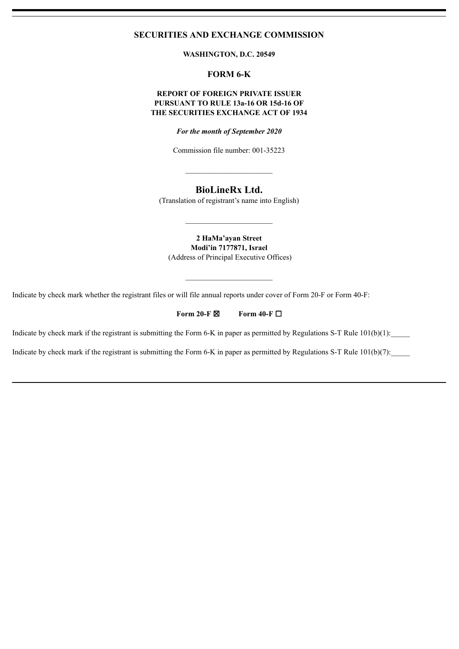# **SECURITIES AND EXCHANGE COMMISSION**

**WASHINGTON, D.C. 20549**

# **FORM 6-K**

## **REPORT OF FOREIGN PRIVATE ISSUER PURSUANT TO RULE 13a-16 OR 15d-16 OF THE SECURITIES EXCHANGE ACT OF 1934**

*For the month of September 2020*

Commission file number: 001-35223

 $\mathcal{L}_\text{max}$  , where  $\mathcal{L}_\text{max}$  and  $\mathcal{L}_\text{max}$ 

# **BioLineRx Ltd.**

(Translation of registrant's name into English)

 $\mathcal{L}_\text{max}$  , where  $\mathcal{L}_\text{max}$  and  $\mathcal{L}_\text{max}$ 

**2 HaMa'ayan Street Modi'in 7177871, Israel** (Address of Principal Executive Offices)

 $\mathcal{L}_\text{max}$ 

Indicate by check mark whether the registrant files or will file annual reports under cover of Form 20-F or Form 40-F:

## **Form 20-F** ☒ **Form 40-F** ☐

Indicate by check mark if the registrant is submitting the Form 6-K in paper as permitted by Regulations S-T Rule  $101(b)(1)$ :

Indicate by check mark if the registrant is submitting the Form 6-K in paper as permitted by Regulations S-T Rule  $101(b)(7)$ :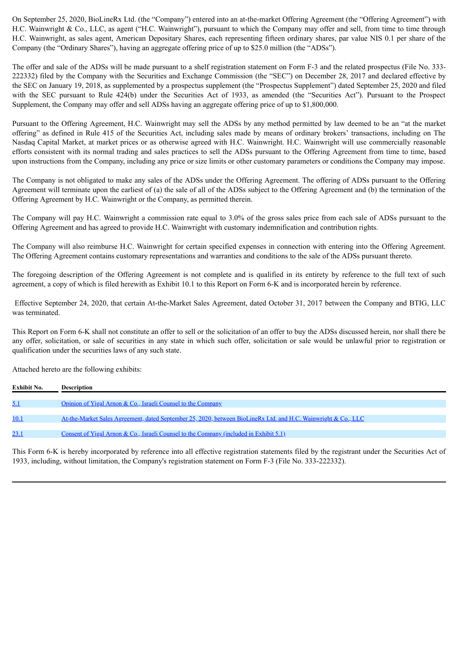On September 25, 2020, BioLineRx Ltd. (the "Company") entered into an at-the-market Offering Agreement (the "Offering Agreement") with H.C. Wainwright & Co., LLC, as agent ("H.C. Wainwright"), pursuant to which the Company may offer and sell, from time to time through H.C. Wainwright, as sales agent, American Depositary Shares, each representing fifteen ordinary shares, par value NIS 0.1 per share of the Company (the "Ordinary Shares"), having an aggregate offering price of up to \$25.0 million (the "ADSs").

The offer and sale of the ADSs will be made pursuant to a shelf registration statement on Form F-3 and the related prospectus (File No. 333- 222332) filed by the Company with the Securities and Exchange Commission (the "SEC") on December 28, 2017 and declared effective by the SEC on January 19, 2018, as supplemented by a prospectus supplement (the "Prospectus Supplement") dated September 25, 2020 and filed with the SEC pursuant to Rule 424(b) under the Securities Act of 1933, as amended (the "Securities Act"). Pursuant to the Prospect Supplement, the Company may offer and sell ADSs having an aggregate offering price of up to \$1,800,000.

Pursuant to the Offering Agreement, H.C. Wainwright may sell the ADSs by any method permitted by law deemed to be an "at the market offering" as defined in Rule 415 of the Securities Act, including sales made by means of ordinary brokers' transactions, including on The Nasdaq Capital Market, at market prices or as otherwise agreed with H.C. Wainwright. H.C. Wainwright will use commercially reasonable efforts consistent with its normal trading and sales practices to sell the ADSs pursuant to the Offering Agreement from time to time, based upon instructions from the Company, including any price or size limits or other customary parameters or conditions the Company may impose.

The Company is not obligated to make any sales of the ADSs under the Offering Agreement. The offering of ADSs pursuant to the Offering Agreement will terminate upon the earliest of (a) the sale of all of the ADSs subject to the Offering Agreement and (b) the termination of the Offering Agreement by H.C. Wainwright or the Company, as permitted therein.

The Company will pay H.C. Wainwright a commission rate equal to 3.0% of the gross sales price from each sale of ADSs pursuant to the Offering Agreement and has agreed to provide H.C. Wainwright with customary indemnification and contribution rights.

The Company will also reimburse H.C. Wainwright for certain specified expenses in connection with entering into the Offering Agreement. The Offering Agreement contains customary representations and warranties and conditions to the sale of the ADSs pursuant thereto.

The foregoing description of the Offering Agreement is not complete and is qualified in its entirety by reference to the full text of such agreement, a copy of which is filed herewith as Exhibit 10.1 to this Report on Form 6-K and is incorporated herein by reference.

Effective September 24, 2020, that certain At-the-Market Sales Agreement, dated October 31, 2017 between the Company and BTIG, LLC was terminated.

This Report on Form 6-K shall not constitute an offer to sell or the solicitation of an offer to buy the ADSs discussed herein, nor shall there be any offer, solicitation, or sale of securities in any state in which such offer, solicitation or sale would be unlawful prior to registration or qualification under the securities laws of any such state.

Attached hereto are the following exhibits:

| Exhibit No. | <b>Description</b>                                                                                             |
|-------------|----------------------------------------------------------------------------------------------------------------|
| <u>5.1</u>  | Opinion of Yigal Arnon & Co., Israeli Counsel to the Company                                                   |
| 10.1        | At-the-Market Sales Agreement, dated September 25, 2020, between BioLineRx Ltd. and H.C. Wainwright & Co., LLC |
| <u>23.1</u> | <u>Consent of Yigal Arnon &amp; Co., Israeli Counsel to the Company (included in Exhibit 5.1)</u>              |

This Form 6-K is hereby incorporated by reference into all effective registration statements filed by the registrant under the Securities Act of 1933, including, without limitation, the Company's registration statement on Form F-3 (File No. 333-222332).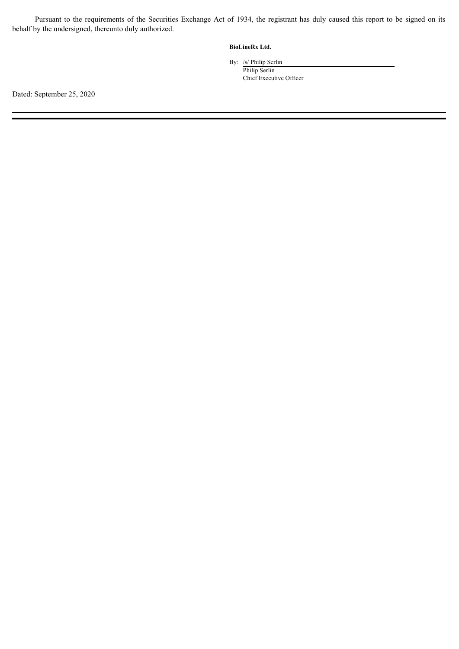Pursuant to the requirements of the Securities Exchange Act of 1934, the registrant has duly caused this report to be signed on its behalf by the undersigned, thereunto duly authorized.

#### **BioLineRx Ltd.**

By: /s/ Philip Serlin

Philip Serlin Chief Executive Officer

Dated: September 25, 2020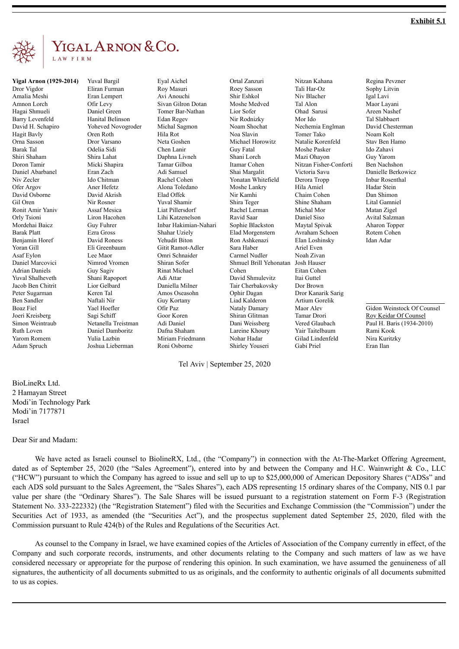<span id="page-3-0"></span>

# YIGAL ARNON & CO.

**Yigal Arnon (1929-2014)**

Dror Vigdor Amalia Meshi Amnon Lorch Hagai Shmueli Barry Levenfeld David H. Schapiro Hagit Bavly Orna Sasson Barak Tal Shiri Shaham Doron Tamir Daniel Abarbanel Niv Zecler Ofer Argov David Osborne Gil Oren Ronit Amir Yaniv Orly Tsioni Mordehai Baicz Barak Platt Benjamin Horef Yoran Gill Asaf Eylon Daniel Marcovici Adrian Daniels Yuval Shalheveth Jacob Ben Chitrit Peter Sugarman Ben Sandler Boaz Fiel Joeri Kreisberg Simon Weintraub Ruth Loven Yarom Romem Adam Spruch

Yuval Bargil Eliran Furman Eran Lempert Ofir Levy Daniel Green Hanital Belinson Yoheved Novogroder Oren Roth Dror Varsano Odelia Sidi Shira Lahat Micki Shapira Eran Zach Ido Chitman Aner Hefetz David Akrish Nir Rosner Assaf Mesica Liron Hacohen Guy Fuhrer Ezra Gross David Roness Eli Greenbaum Lee Maor Nimrod Vromen Guy Sagiv Shani Rapoport Lior Gelbard Keren Tal Naftali Nir Yael Hoefler Sagi Schiff Netanella Treistman Daniel Damboritz Yulia Lazbin Joshua Lieberman

Eyal Aichel Roy Masuri Avi Anouchi Sivan Gilron Dotan Tomer Bar-Nathan Edan Regev Michal Sagmon Hila Rot Neta Goshen Chen Lanir Daphna Livneh Tamar Gilboa Adi Samuel Rachel Cohen Alona Toledano Elad Offek Yuval Shamir Liat Pillersdorf Lihi Katzenelson Inbar Hakimian-Nahari Shahar Uziely Yehudit Biton Gitit Ramot-Adler Omri Schnaider Shiran Sofer Rinat Michael Adi Attar Daniella Milner Amos Oseasohn Guy Kortany Ofir Paz Goor Koren Adi Daniel Dafna Shaham Miriam Friedmann Roni Osborne

Ortal Zanzuri Roey Sasson Shir Eshkol Moshe Medved Lior Sofer Nir Rodnizky Noam Shochat Noa Slavin Michael Horowitz Guy Fatal Shani Lorch Itamar Cohen Shai Margalit Yonatan Whitefield Moshe Lankry Nir Kamhi Shira Teger Rachel Lerman Ravid Saar Sophie Blackston Elad Morgenstern Ron Ashkenazi Sara Haber Carmel Nudler Shmuel Brill Yehonatan Cohen David Shmulevitz Tair Cherbakovsky Ophir Dagan Liad Kalderon Nataly Damary Shiran Glitman Dani Weissberg Lareine Khoury Nohar Hadar Shirley Youseri

Nitzan Kahana Tali Har-Oz Niv Blacher Tal Alon Ohad Sarusi Mor Ido Nechemia Englman Tomer Tako Natalie Korenfeld Moshe Pasker Mazi Ohayon Nitzan Fisher-Conforti Victoria Savu Derora Tropp Hila Amiel Chaim Cohen Shine Shaham Michal Mor Daniel Siso Maytal Spivak Avraham Schoen Elan Loshinsky Ariel Even Noah Zivan Josh Hauser Eitan Cohen Itai Guttel Dor Brown Dror Kanarik Sarig Artium Gorelik Maor Alev Tamar Drori Vered Glaubach Yair Taitelbaum Gilad Lindenfeld Gabi Priel

Regina Pevzner Sophy Litvin Igal Lavi Maor Layani Areen Nashef Tal Slabbaert David Chesterman Noam Kolt Stav Ben Hamo Ido Zahavi Guy Yarom Ben Nachshon Danielle Berkowicz Inbar Rosenthal Hadar Stein Dan Shimon Lital Gamniel Matan Zigel Avital Salzman Aharon Topper Rotem Cohen Idan Adar

Gidon Weinstock Of Counsel Roy Keidar Of Counsel Paul H. Baris (1934-2010) Rami Kook Nira Kuritzky Eran Ilan

Tel Aviv | September 25, 2020

#### BioLineRx Ltd. 2 Hamayan Street Modi'in Technology Park Modi'in 7177871 Israel

#### Dear Sir and Madam:

We have acted as Israeli counsel to BiolineRX, Ltd., (the "Company") in connection with the At-The-Market Offering Agreement, dated as of September 25, 2020 (the "Sales Agreement"), entered into by and between the Company and H.C. Wainwright & Co., LLC ("HCW") pursuant to which the Company has agreed to issue and sell up to up to \$25,000,000 of American Depository Shares ("ADSs" and each ADS sold pursuant to the Sales Agreement, the "Sales Shares"), each ADS representing 15 ordinary shares of the Company, NIS 0.1 par value per share (the "Ordinary Shares"). The Sale Shares will be issued pursuant to a registration statement on Form F-3 (Registration Statement No. 333-222332) (the "Registration Statement") filed with the Securities and Exchange Commission (the "Commission") under the Securities Act of 1933, as amended (the "Securities Act"), and the prospectus supplement dated September 25, 2020, filed with the Commission pursuant to Rule 424(b) of the Rules and Regulations of the Securities Act.

As counsel to the Company in Israel, we have examined copies of the Articles of Association of the Company currently in effect, of the Company and such corporate records, instruments, and other documents relating to the Company and such matters of law as we have considered necessary or appropriate for the purpose of rendering this opinion. In such examination, we have assumed the genuineness of all signatures, the authenticity of all documents submitted to us as originals, and the conformity to authentic originals of all documents submitted to us as copies.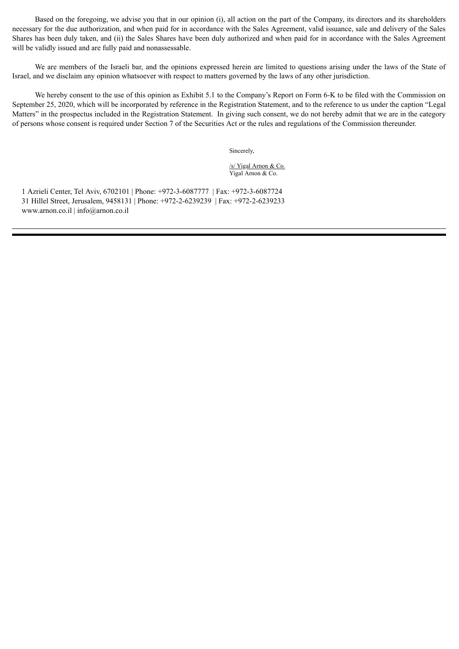Based on the foregoing, we advise you that in our opinion (i), all action on the part of the Company, its directors and its shareholders necessary for the due authorization, and when paid for in accordance with the Sales Agreement, valid issuance, sale and delivery of the Sales Shares has been duly taken, and (ii) the Sales Shares have been duly authorized and when paid for in accordance with the Sales Agreement will be validly issued and are fully paid and nonassessable.

We are members of the Israeli bar, and the opinions expressed herein are limited to questions arising under the laws of the State of Israel, and we disclaim any opinion whatsoever with respect to matters governed by the laws of any other jurisdiction.

We hereby consent to the use of this opinion as Exhibit 5.1 to the Company's Report on Form 6-K to be filed with the Commission on September 25, 2020, which will be incorporated by reference in the Registration Statement, and to the reference to us under the caption "Legal Matters" in the prospectus included in the Registration Statement. In giving such consent, we do not hereby admit that we are in the category of persons whose consent is required under Section 7 of the Securities Act or the rules and regulations of the Commission thereunder.

Sincerely,

/s/ Yigal Arnon & Co. Yigal Arnon & Co.

 1 Azrieli Center, Tel Aviv, 6702101 | Phone: +972-3-6087777 | Fax: +972-3-6087724 31 Hillel Street, Jerusalem, 9458131 | Phone: +972-2-6239239 | Fax: +972-2-6239233 www.arnon.co.il | info@arnon.co.il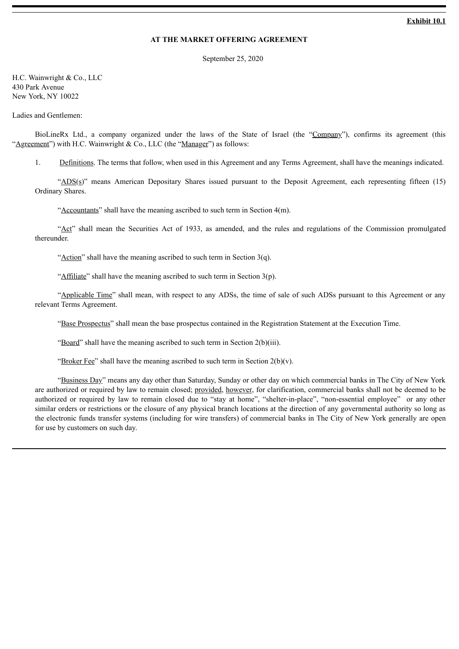#### **Exhibit 10.1**

#### **AT THE MARKET OFFERING AGREEMENT**

September 25, 2020

<span id="page-5-0"></span>H.C. Wainwright & Co., LLC 430 Park Avenue New York, NY 10022

Ladies and Gentlemen:

BioLineRx Ltd., a company organized under the laws of the State of Israel (the "Company"), confirms its agreement (this 'Agreement'') with H.C. Wainwright & Co., LLC (the "Manager") as follows:

1. Definitions. The terms that follow, when used in this Agreement and any Terms Agreement, shall have the meanings indicated.

"ADS(s)" means American Depositary Shares issued pursuant to the Deposit Agreement, each representing fifteen (15) Ordinary Shares.

"Accountants" shall have the meaning ascribed to such term in Section 4(m).

"Act" shall mean the Securities Act of 1933, as amended, and the rules and regulations of the Commission promulgated thereunder.

"Action" shall have the meaning ascribed to such term in Section  $3(q)$ .

"Affiliate" shall have the meaning ascribed to such term in Section  $3(p)$ .

"Applicable Time" shall mean, with respect to any ADSs, the time of sale of such ADSs pursuant to this Agreement or any relevant Terms Agreement.

"Base Prospectus" shall mean the base prospectus contained in the Registration Statement at the Execution Time.

"Board" shall have the meaning ascribed to such term in Section 2(b)(iii).

"Broker Fee" shall have the meaning ascribed to such term in Section  $2(b)(v)$ .

"Business Day" means any day other than Saturday, Sunday or other day on which commercial banks in The City of New York are authorized or required by law to remain closed; provided, however, for clarification, commercial banks shall not be deemed to be authorized or required by law to remain closed due to "stay at home", "shelter-in-place", "non-essential employee" or any other similar orders or restrictions or the closure of any physical branch locations at the direction of any governmental authority so long as the electronic funds transfer systems (including for wire transfers) of commercial banks in The City of New York generally are open for use by customers on such day.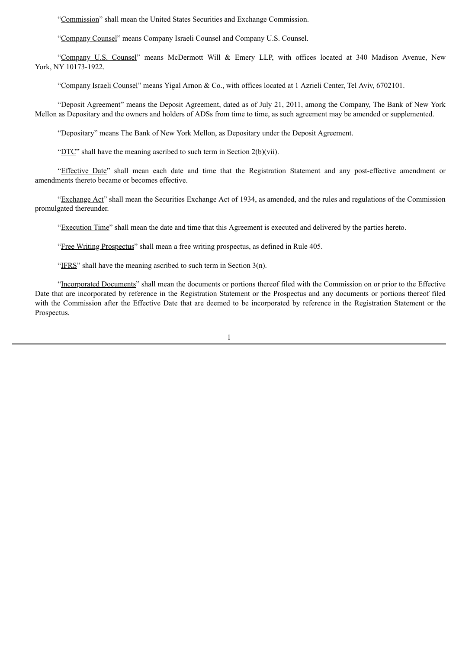"Commission" shall mean the United States Securities and Exchange Commission.

"Company Counsel" means Company Israeli Counsel and Company U.S. Counsel.

"Company U.S. Counsel" means McDermott Will & Emery LLP, with offices located at 340 Madison Avenue, New York, NY 10173-1922.

"Company Israeli Counsel" means Yigal Arnon & Co., with offices located at 1 Azrieli Center, Tel Aviv, 6702101.

"Deposit Agreement" means the Deposit Agreement, dated as of July 21, 2011, among the Company, The Bank of New York Mellon as Depositary and the owners and holders of ADSs from time to time, as such agreement may be amended or supplemented.

"Depositary" means The Bank of New York Mellon, as Depositary under the Deposit Agreement.

"DTC" shall have the meaning ascribed to such term in Section 2(b)(vii).

"Effective Date" shall mean each date and time that the Registration Statement and any post-effective amendment or amendments thereto became or becomes effective.

"Exchange Act" shall mean the Securities Exchange Act of 1934, as amended, and the rules and regulations of the Commission promulgated thereunder.

"Execution Time" shall mean the date and time that this Agreement is executed and delivered by the parties hereto.

"Free Writing Prospectus" shall mean a free writing prospectus, as defined in Rule 405.

"IFRS" shall have the meaning ascribed to such term in Section  $3(n)$ .

"Incorporated Documents" shall mean the documents or portions thereof filed with the Commission on or prior to the Effective Date that are incorporated by reference in the Registration Statement or the Prospectus and any documents or portions thereof filed with the Commission after the Effective Date that are deemed to be incorporated by reference in the Registration Statement or the Prospectus.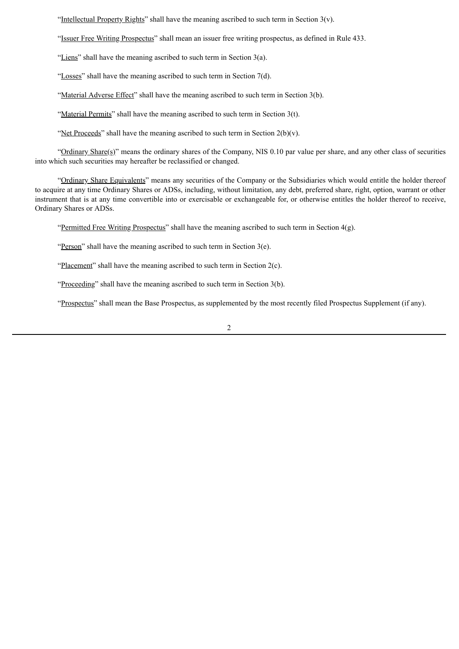"Intellectual Property Rights" shall have the meaning ascribed to such term in Section  $3(v)$ .

"Issuer Free Writing Prospectus" shall mean an issuer free writing prospectus, as defined in Rule 433.

"Liens" shall have the meaning ascribed to such term in Section 3(a).

"Losses" shall have the meaning ascribed to such term in Section  $7(d)$ .

"Material Adverse Effect" shall have the meaning ascribed to such term in Section 3(b).

"Material Permits" shall have the meaning ascribed to such term in Section  $3(t)$ .

"Net Proceeds" shall have the meaning ascribed to such term in Section  $2(b)(v)$ .

"Ordinary Share(s)" means the ordinary shares of the Company, NIS 0.10 par value per share, and any other class of securities into which such securities may hereafter be reclassified or changed.

"Ordinary Share Equivalents" means any securities of the Company or the Subsidiaries which would entitle the holder thereof to acquire at any time Ordinary Shares or ADSs, including, without limitation, any debt, preferred share, right, option, warrant or other instrument that is at any time convertible into or exercisable or exchangeable for, or otherwise entitles the holder thereof to receive, Ordinary Shares or ADSs.

"Permitted Free Writing Prospectus" shall have the meaning ascribed to such term in Section 4(g).

"Person" shall have the meaning ascribed to such term in Section 3(e).

"Placement" shall have the meaning ascribed to such term in Section 2(c).

"Proceeding" shall have the meaning ascribed to such term in Section 3(b).

"Prospectus" shall mean the Base Prospectus, as supplemented by the most recently filed Prospectus Supplement (if any).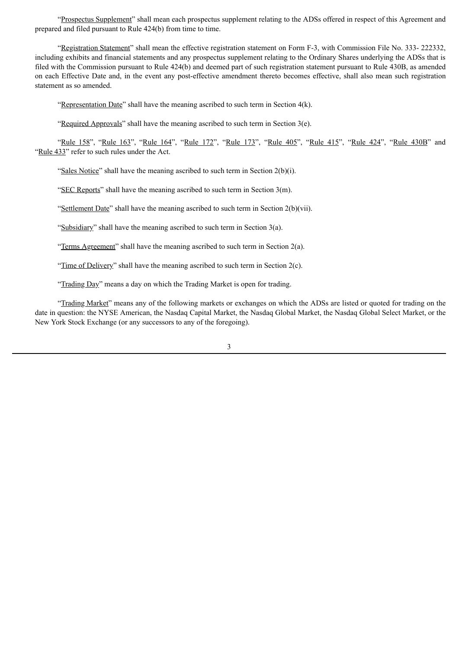"Prospectus Supplement" shall mean each prospectus supplement relating to the ADSs offered in respect of this Agreement and prepared and filed pursuant to Rule 424(b) from time to time.

"Registration Statement" shall mean the effective registration statement on Form F-3, with Commission File No. 333- 222332, including exhibits and financial statements and any prospectus supplement relating to the Ordinary Shares underlying the ADSs that is filed with the Commission pursuant to Rule 424(b) and deemed part of such registration statement pursuant to Rule 430B, as amended on each Effective Date and, in the event any post-effective amendment thereto becomes effective, shall also mean such registration statement as so amended.

"Representation Date" shall have the meaning ascribed to such term in Section 4(k).

"Required Approvals" shall have the meaning ascribed to such term in Section  $3(e)$ .

"Rule 158", "Rule 163", "Rule 164", "Rule 172", "Rule 173", "Rule 405", "Rule 415", "Rule 424", "Rule 430B" and "Rule 433" refer to such rules under the Act.

"Sales Notice" shall have the meaning ascribed to such term in Section 2(b)(i).

"SEC Reports" shall have the meaning ascribed to such term in Section 3(m).

"Settlement Date" shall have the meaning ascribed to such term in Section 2(b)(vii).

"Subsidiary" shall have the meaning ascribed to such term in Section 3(a).

"Terms Agreement" shall have the meaning ascribed to such term in Section  $2(a)$ .

"Time of Delivery" shall have the meaning ascribed to such term in Section  $2(c)$ .

"Trading Day" means a day on which the Trading Market is open for trading.

"Trading Market" means any of the following markets or exchanges on which the ADSs are listed or quoted for trading on the date in question: the NYSE American, the Nasdaq Capital Market, the Nasdaq Global Market, the Nasdaq Global Select Market, or the New York Stock Exchange (or any successors to any of the foregoing).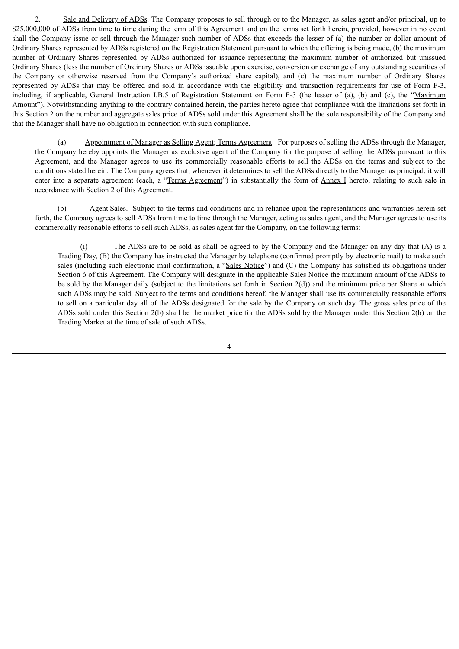2. Sale and Delivery of ADSs. The Company proposes to sell through or to the Manager, as sales agent and/or principal, up to \$25,000,000 of ADSs from time to time during the term of this Agreement and on the terms set forth herein, provided, however in no event shall the Company issue or sell through the Manager such number of ADSs that exceeds the lesser of (a) the number or dollar amount of Ordinary Shares represented by ADSs registered on the Registration Statement pursuant to which the offering is being made, (b) the maximum number of Ordinary Shares represented by ADSs authorized for issuance representing the maximum number of authorized but unissued Ordinary Shares (less the number of Ordinary Shares or ADSs issuable upon exercise, conversion or exchange of any outstanding securities of the Company or otherwise reserved from the Company's authorized share capital), and (c) the maximum number of Ordinary Shares represented by ADSs that may be offered and sold in accordance with the eligibility and transaction requirements for use of Form F-3, including, if applicable, General Instruction I.B.5 of Registration Statement on Form F-3 (the lesser of (a), (b) and (c), the "Maximum Amount"). Notwithstanding anything to the contrary contained herein, the parties hereto agree that compliance with the limitations set forth in this Section 2 on the number and aggregate sales price of ADSs sold under this Agreement shall be the sole responsibility of the Company and that the Manager shall have no obligation in connection with such compliance.

(a) Appointment of Manager as Selling Agent; Terms Agreement. For purposes of selling the ADSs through the Manager, the Company hereby appoints the Manager as exclusive agent of the Company for the purpose of selling the ADSs pursuant to this Agreement, and the Manager agrees to use its commercially reasonable efforts to sell the ADSs on the terms and subject to the conditions stated herein. The Company agrees that, whenever it determines to sell the ADSs directly to the Manager as principal, it will enter into a separate agreement (each, a "Terms Agreement") in substantially the form of Annex I hereto, relating to such sale in accordance with Section 2 of this Agreement.

(b) Agent Sales. Subject to the terms and conditions and in reliance upon the representations and warranties herein set forth, the Company agrees to sell ADSs from time to time through the Manager, acting as sales agent, and the Manager agrees to use its commercially reasonable efforts to sell such ADSs, as sales agent for the Company, on the following terms:

(i) The ADSs are to be sold as shall be agreed to by the Company and the Manager on any day that (A) is a Trading Day, (B) the Company has instructed the Manager by telephone (confirmed promptly by electronic mail) to make such sales (including such electronic mail confirmation, a "Sales Notice") and (C) the Company has satisfied its obligations under Section 6 of this Agreement. The Company will designate in the applicable Sales Notice the maximum amount of the ADSs to be sold by the Manager daily (subject to the limitations set forth in Section  $2(d)$ ) and the minimum price per Share at which such ADSs may be sold. Subject to the terms and conditions hereof, the Manager shall use its commercially reasonable efforts to sell on a particular day all of the ADSs designated for the sale by the Company on such day. The gross sales price of the ADSs sold under this Section 2(b) shall be the market price for the ADSs sold by the Manager under this Section 2(b) on the Trading Market at the time of sale of such ADSs.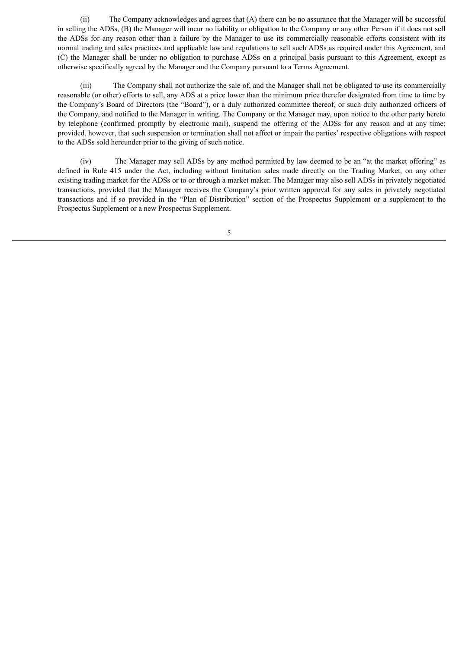(ii) The Company acknowledges and agrees that (A) there can be no assurance that the Manager will be successful in selling the ADSs, (B) the Manager will incur no liability or obligation to the Company or any other Person if it does not sell the ADSs for any reason other than a failure by the Manager to use its commercially reasonable efforts consistent with its normal trading and sales practices and applicable law and regulations to sell such ADSs as required under this Agreement, and (C) the Manager shall be under no obligation to purchase ADSs on a principal basis pursuant to this Agreement, except as otherwise specifically agreed by the Manager and the Company pursuant to a Terms Agreement.

(iii) The Company shall not authorize the sale of, and the Manager shall not be obligated to use its commercially reasonable (or other) efforts to sell, any ADS at a price lower than the minimum price therefor designated from time to time by the Company's Board of Directors (the "Board"), or a duly authorized committee thereof, or such duly authorized officers of the Company, and notified to the Manager in writing. The Company or the Manager may, upon notice to the other party hereto by telephone (confirmed promptly by electronic mail), suspend the offering of the ADSs for any reason and at any time; provided, however, that such suspension or termination shall not affect or impair the parties' respective obligations with respect to the ADSs sold hereunder prior to the giving of such notice.

(iv) The Manager may sell ADSs by any method permitted by law deemed to be an "at the market offering" as defined in Rule 415 under the Act, including without limitation sales made directly on the Trading Market, on any other existing trading market for the ADSs or to or through a market maker. The Manager may also sell ADSs in privately negotiated transactions, provided that the Manager receives the Company's prior written approval for any sales in privately negotiated transactions and if so provided in the "Plan of Distribution" section of the Prospectus Supplement or a supplement to the Prospectus Supplement or a new Prospectus Supplement.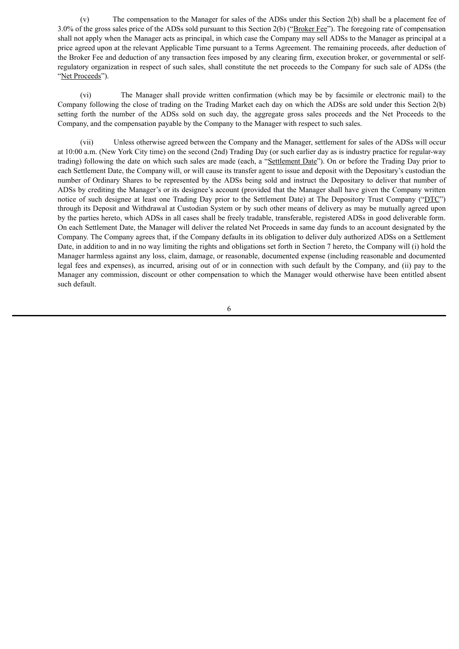(v) The compensation to the Manager for sales of the ADSs under this Section 2(b) shall be a placement fee of 3.0% of the gross sales price of the ADSs sold pursuant to this Section 2(b) ("Broker Fee"). The foregoing rate of compensation shall not apply when the Manager acts as principal, in which case the Company may sell ADSs to the Manager as principal at a price agreed upon at the relevant Applicable Time pursuant to a Terms Agreement. The remaining proceeds, after deduction of the Broker Fee and deduction of any transaction fees imposed by any clearing firm, execution broker, or governmental or selfregulatory organization in respect of such sales, shall constitute the net proceeds to the Company for such sale of ADSs (the "Net Proceeds").

(vi) The Manager shall provide written confirmation (which may be by facsimile or electronic mail) to the Company following the close of trading on the Trading Market each day on which the ADSs are sold under this Section 2(b) setting forth the number of the ADSs sold on such day, the aggregate gross sales proceeds and the Net Proceeds to the Company, and the compensation payable by the Company to the Manager with respect to such sales.

(vii) Unless otherwise agreed between the Company and the Manager, settlement for sales of the ADSs will occur at 10:00 a.m. (New York City time) on the second (2nd) Trading Day (or such earlier day as is industry practice for regular-way trading) following the date on which such sales are made (each, a "Settlement Date"). On or before the Trading Day prior to each Settlement Date, the Company will, or will cause its transfer agent to issue and deposit with the Depositary's custodian the number of Ordinary Shares to be represented by the ADSs being sold and instruct the Depositary to deliver that number of ADSs by crediting the Manager's or its designee's account (provided that the Manager shall have given the Company written notice of such designee at least one Trading Day prior to the Settlement Date) at The Depository Trust Company ("DTC") through its Deposit and Withdrawal at Custodian System or by such other means of delivery as may be mutually agreed upon by the parties hereto, which ADSs in all cases shall be freely tradable, transferable, registered ADSs in good deliverable form. On each Settlement Date, the Manager will deliver the related Net Proceeds in same day funds to an account designated by the Company. The Company agrees that, if the Company defaults in its obligation to deliver duly authorized ADSs on a Settlement Date, in addition to and in no way limiting the rights and obligations set forth in Section 7 hereto, the Company will (i) hold the Manager harmless against any loss, claim, damage, or reasonable, documented expense (including reasonable and documented legal fees and expenses), as incurred, arising out of or in connection with such default by the Company, and (ii) pay to the Manager any commission, discount or other compensation to which the Manager would otherwise have been entitled absent such default.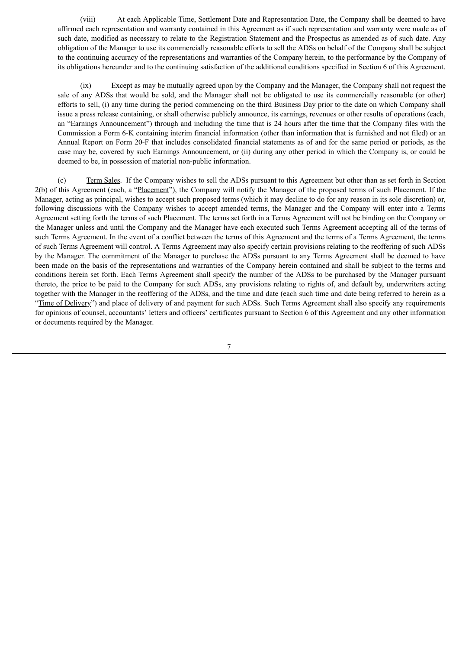(viii) At each Applicable Time, Settlement Date and Representation Date, the Company shall be deemed to have affirmed each representation and warranty contained in this Agreement as if such representation and warranty were made as of such date, modified as necessary to relate to the Registration Statement and the Prospectus as amended as of such date. Any obligation of the Manager to use its commercially reasonable efforts to sell the ADSs on behalf of the Company shall be subject to the continuing accuracy of the representations and warranties of the Company herein, to the performance by the Company of its obligations hereunder and to the continuing satisfaction of the additional conditions specified in Section 6 of this Agreement.

(ix) Except as may be mutually agreed upon by the Company and the Manager, the Company shall not request the sale of any ADSs that would be sold, and the Manager shall not be obligated to use its commercially reasonable (or other) efforts to sell, (i) any time during the period commencing on the third Business Day prior to the date on which Company shall issue a press release containing, or shall otherwise publicly announce, its earnings, revenues or other results of operations (each, an "Earnings Announcement") through and including the time that is 24 hours after the time that the Company files with the Commission a Form 6-K containing interim financial information (other than information that is furnished and not filed) or an Annual Report on Form 20-F that includes consolidated financial statements as of and for the same period or periods, as the case may be, covered by such Earnings Announcement, or (ii) during any other period in which the Company is, or could be deemed to be, in possession of material non-public information.

(c) Term Sales. If the Company wishes to sell the ADSs pursuant to this Agreement but other than as set forth in Section 2(b) of this Agreement (each, a "Placement"), the Company will notify the Manager of the proposed terms of such Placement. If the Manager, acting as principal, wishes to accept such proposed terms (which it may decline to do for any reason in its sole discretion) or, following discussions with the Company wishes to accept amended terms, the Manager and the Company will enter into a Terms Agreement setting forth the terms of such Placement. The terms set forth in a Terms Agreement will not be binding on the Company or the Manager unless and until the Company and the Manager have each executed such Terms Agreement accepting all of the terms of such Terms Agreement. In the event of a conflict between the terms of this Agreement and the terms of a Terms Agreement, the terms of such Terms Agreement will control. A Terms Agreement may also specify certain provisions relating to the reoffering of such ADSs by the Manager. The commitment of the Manager to purchase the ADSs pursuant to any Terms Agreement shall be deemed to have been made on the basis of the representations and warranties of the Company herein contained and shall be subject to the terms and conditions herein set forth. Each Terms Agreement shall specify the number of the ADSs to be purchased by the Manager pursuant thereto, the price to be paid to the Company for such ADSs, any provisions relating to rights of, and default by, underwriters acting together with the Manager in the reoffering of the ADSs, and the time and date (each such time and date being referred to herein as a "Time of Delivery") and place of delivery of and payment for such ADSs. Such Terms Agreement shall also specify any requirements for opinions of counsel, accountants' letters and officers' certificates pursuant to Section 6 of this Agreement and any other information or documents required by the Manager.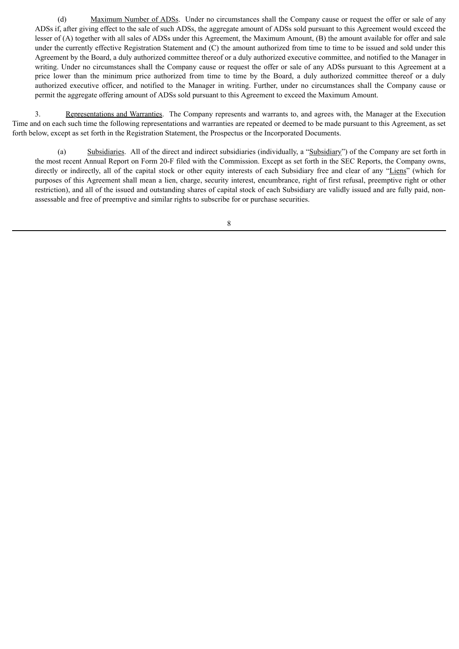(d) Maximum Number of ADSs. Under no circumstances shall the Company cause or request the offer or sale of any ADSs if, after giving effect to the sale of such ADSs, the aggregate amount of ADSs sold pursuant to this Agreement would exceed the lesser of (A) together with all sales of ADSs under this Agreement, the Maximum Amount, (B) the amount available for offer and sale under the currently effective Registration Statement and (C) the amount authorized from time to time to be issued and sold under this Agreement by the Board, a duly authorized committee thereof or a duly authorized executive committee, and notified to the Manager in writing. Under no circumstances shall the Company cause or request the offer or sale of any ADSs pursuant to this Agreement at a price lower than the minimum price authorized from time to time by the Board, a duly authorized committee thereof or a duly authorized executive officer, and notified to the Manager in writing. Further, under no circumstances shall the Company cause or permit the aggregate offering amount of ADSs sold pursuant to this Agreement to exceed the Maximum Amount.

3. Representations and Warranties. The Company represents and warrants to, and agrees with, the Manager at the Execution Time and on each such time the following representations and warranties are repeated or deemed to be made pursuant to this Agreement, as set forth below, except as set forth in the Registration Statement, the Prospectus or the Incorporated Documents.

(a) Subsidiaries. All of the direct and indirect subsidiaries (individually, a "Subsidiary") of the Company are set forth in the most recent Annual Report on Form 20-F filed with the Commission. Except as set forth in the SEC Reports, the Company owns, directly or indirectly, all of the capital stock or other equity interests of each Subsidiary free and clear of any "Liens" (which for purposes of this Agreement shall mean a lien, charge, security interest, encumbrance, right of first refusal, preemptive right or other restriction), and all of the issued and outstanding shares of capital stock of each Subsidiary are validly issued and are fully paid, nonassessable and free of preemptive and similar rights to subscribe for or purchase securities.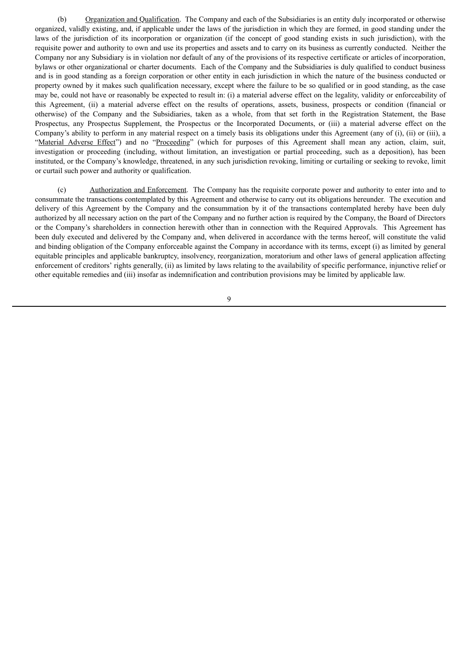(b) Organization and Qualification. The Company and each of the Subsidiaries is an entity duly incorporated or otherwise organized, validly existing, and, if applicable under the laws of the jurisdiction in which they are formed, in good standing under the laws of the jurisdiction of its incorporation or organization (if the concept of good standing exists in such jurisdiction), with the requisite power and authority to own and use its properties and assets and to carry on its business as currently conducted. Neither the Company nor any Subsidiary is in violation nor default of any of the provisions of its respective certificate or articles of incorporation, bylaws or other organizational or charter documents. Each of the Company and the Subsidiaries is duly qualified to conduct business and is in good standing as a foreign corporation or other entity in each jurisdiction in which the nature of the business conducted or property owned by it makes such qualification necessary, except where the failure to be so qualified or in good standing, as the case may be, could not have or reasonably be expected to result in: (i) a material adverse effect on the legality, validity or enforceability of this Agreement, (ii) a material adverse effect on the results of operations, assets, business, prospects or condition (financial or otherwise) of the Company and the Subsidiaries, taken as a whole, from that set forth in the Registration Statement, the Base Prospectus, any Prospectus Supplement, the Prospectus or the Incorporated Documents, or (iii) a material adverse effect on the Company's ability to perform in any material respect on a timely basis its obligations under this Agreement (any of (i), (ii) or (iii), a "Material Adverse Effect") and no "Proceeding" (which for purposes of this Agreement shall mean any action, claim, suit, investigation or proceeding (including, without limitation, an investigation or partial proceeding, such as a deposition), has been instituted, or the Company's knowledge, threatened, in any such jurisdiction revoking, limiting or curtailing or seeking to revoke, limit or curtail such power and authority or qualification.

(c) Authorization and Enforcement. The Company has the requisite corporate power and authority to enter into and to consummate the transactions contemplated by this Agreement and otherwise to carry out its obligations hereunder. The execution and delivery of this Agreement by the Company and the consummation by it of the transactions contemplated hereby have been duly authorized by all necessary action on the part of the Company and no further action is required by the Company, the Board of Directors or the Company's shareholders in connection herewith other than in connection with the Required Approvals. This Agreement has been duly executed and delivered by the Company and, when delivered in accordance with the terms hereof, will constitute the valid and binding obligation of the Company enforceable against the Company in accordance with its terms, except (i) as limited by general equitable principles and applicable bankruptcy, insolvency, reorganization, moratorium and other laws of general application affecting enforcement of creditors' rights generally, (ii) as limited by laws relating to the availability of specific performance, injunctive relief or other equitable remedies and (iii) insofar as indemnification and contribution provisions may be limited by applicable law.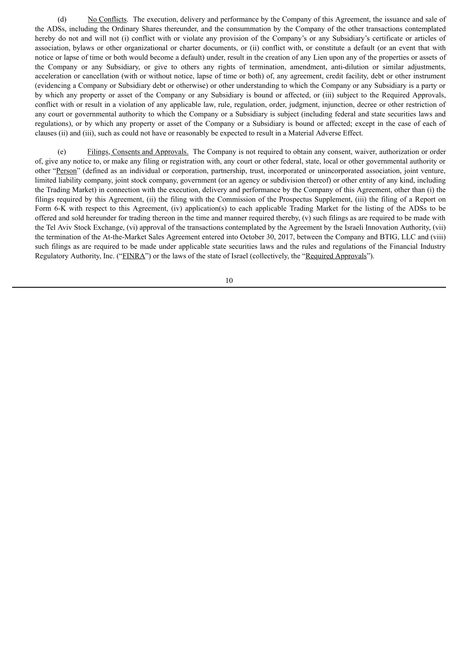(d) No Conflicts. The execution, delivery and performance by the Company of this Agreement, the issuance and sale of the ADSs, including the Ordinary Shares thereunder, and the consummation by the Company of the other transactions contemplated hereby do not and will not (i) conflict with or violate any provision of the Company's or any Subsidiary's certificate or articles of association, bylaws or other organizational or charter documents, or (ii) conflict with, or constitute a default (or an event that with notice or lapse of time or both would become a default) under, result in the creation of any Lien upon any of the properties or assets of the Company or any Subsidiary, or give to others any rights of termination, amendment, anti-dilution or similar adjustments, acceleration or cancellation (with or without notice, lapse of time or both) of, any agreement, credit facility, debt or other instrument (evidencing a Company or Subsidiary debt or otherwise) or other understanding to which the Company or any Subsidiary is a party or by which any property or asset of the Company or any Subsidiary is bound or affected, or (iii) subject to the Required Approvals, conflict with or result in a violation of any applicable law, rule, regulation, order, judgment, injunction, decree or other restriction of any court or governmental authority to which the Company or a Subsidiary is subject (including federal and state securities laws and regulations), or by which any property or asset of the Company or a Subsidiary is bound or affected; except in the case of each of clauses (ii) and (iii), such as could not have or reasonably be expected to result in a Material Adverse Effect.

(e) Filings, Consents and Approvals. The Company is not required to obtain any consent, waiver, authorization or order of, give any notice to, or make any filing or registration with, any court or other federal, state, local or other governmental authority or other "Person" (defined as an individual or corporation, partnership, trust, incorporated or unincorporated association, joint venture, limited liability company, joint stock company, government (or an agency or subdivision thereof) or other entity of any kind, including the Trading Market) in connection with the execution, delivery and performance by the Company of this Agreement, other than (i) the filings required by this Agreement, (ii) the filing with the Commission of the Prospectus Supplement, (iii) the filing of a Report on Form 6-K with respect to this Agreement, (iv) application(s) to each applicable Trading Market for the listing of the ADSs to be offered and sold hereunder for trading thereon in the time and manner required thereby,  $(v)$  such filings as are required to be made with the Tel Aviv Stock Exchange, (vi) approval of the transactions contemplated by the Agreement by the Israeli Innovation Authority, (vii) the termination of the At-the-Market Sales Agreement entered into October 30, 2017, between the Company and BTIG, LLC and (viii) such filings as are required to be made under applicable state securities laws and the rules and regulations of the Financial Industry Regulatory Authority, Inc. ("FINRA") or the laws of the state of Israel (collectively, the "Required Approvals").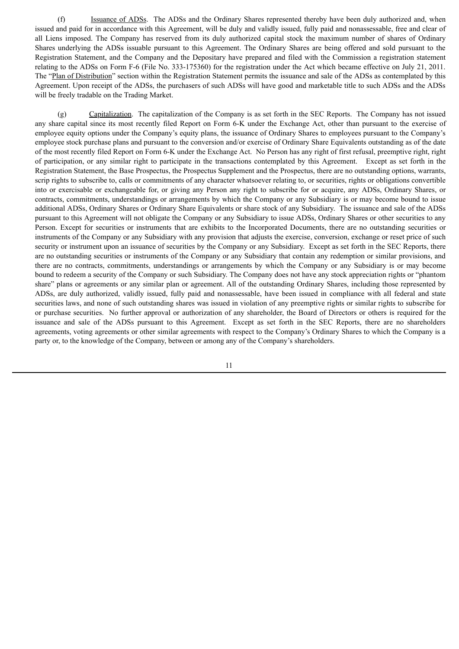(f) Issuance of ADSs. The ADSs and the Ordinary Shares represented thereby have been duly authorized and, when issued and paid for in accordance with this Agreement, will be duly and validly issued, fully paid and nonassessable, free and clear of all Liens imposed. The Company has reserved from its duly authorized capital stock the maximum number of shares of Ordinary Shares underlying the ADSs issuable pursuant to this Agreement. The Ordinary Shares are being offered and sold pursuant to the Registration Statement, and the Company and the Depositary have prepared and filed with the Commission a registration statement relating to the ADSs on Form F-6 (File No. 333-175360) for the registration under the Act which became effective on July 21, 2011. The "Plan of Distribution" section within the Registration Statement permits the issuance and sale of the ADSs as contemplated by this Agreement. Upon receipt of the ADSs, the purchasers of such ADSs will have good and marketable title to such ADSs and the ADSs will be freely tradable on the Trading Market.

(g) Capitalization. The capitalization of the Company is as set forth in the SEC Reports. The Company has not issued any share capital since its most recently filed Report on Form 6-K under the Exchange Act, other than pursuant to the exercise of employee equity options under the Company's equity plans, the issuance of Ordinary Shares to employees pursuant to the Company's employee stock purchase plans and pursuant to the conversion and/or exercise of Ordinary Share Equivalents outstanding as of the date of the most recently filed Report on Form 6-K under the Exchange Act. No Person has any right of first refusal, preemptive right, right of participation, or any similar right to participate in the transactions contemplated by this Agreement. Except as set forth in the Registration Statement, the Base Prospectus, the Prospectus Supplement and the Prospectus, there are no outstanding options, warrants, scrip rights to subscribe to, calls or commitments of any character whatsoever relating to, or securities, rights or obligations convertible into or exercisable or exchangeable for, or giving any Person any right to subscribe for or acquire, any ADSs, Ordinary Shares, or contracts, commitments, understandings or arrangements by which the Company or any Subsidiary is or may become bound to issue additional ADSs, Ordinary Shares or Ordinary Share Equivalents or share stock of any Subsidiary. The issuance and sale of the ADSs pursuant to this Agreement will not obligate the Company or any Subsidiary to issue ADSs, Ordinary Shares or other securities to any Person. Except for securities or instruments that are exhibits to the Incorporated Documents, there are no outstanding securities or instruments of the Company or any Subsidiary with any provision that adjusts the exercise, conversion, exchange or reset price of such security or instrument upon an issuance of securities by the Company or any Subsidiary. Except as set forth in the SEC Reports, there are no outstanding securities or instruments of the Company or any Subsidiary that contain any redemption or similar provisions, and there are no contracts, commitments, understandings or arrangements by which the Company or any Subsidiary is or may become bound to redeem a security of the Company or such Subsidiary. The Company does not have any stock appreciation rights or "phantom share" plans or agreements or any similar plan or agreement. All of the outstanding Ordinary Shares, including those represented by ADSs, are duly authorized, validly issued, fully paid and nonassessable, have been issued in compliance with all federal and state securities laws, and none of such outstanding shares was issued in violation of any preemptive rights or similar rights to subscribe for or purchase securities. No further approval or authorization of any shareholder, the Board of Directors or others is required for the issuance and sale of the ADSs pursuant to this Agreement. Except as set forth in the SEC Reports, there are no shareholders agreements, voting agreements or other similar agreements with respect to the Company's Ordinary Shares to which the Company is a party or, to the knowledge of the Company, between or among any of the Company's shareholders.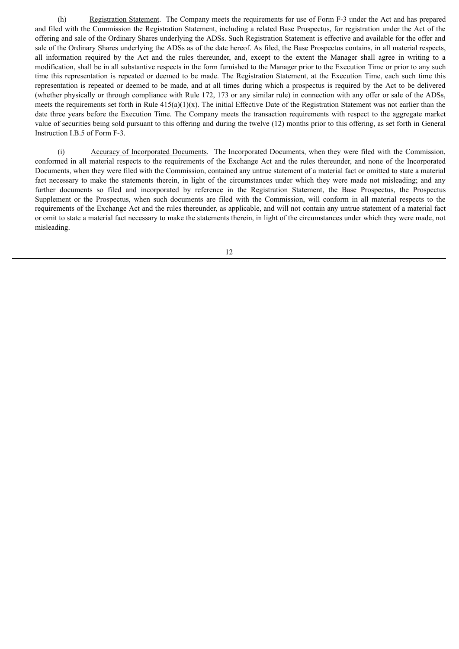(h) Registration Statement. The Company meets the requirements for use of Form F-3 under the Act and has prepared and filed with the Commission the Registration Statement, including a related Base Prospectus, for registration under the Act of the offering and sale of the Ordinary Shares underlying the ADSs. Such Registration Statement is effective and available for the offer and sale of the Ordinary Shares underlying the ADSs as of the date hereof. As filed, the Base Prospectus contains, in all material respects, all information required by the Act and the rules thereunder, and, except to the extent the Manager shall agree in writing to a modification, shall be in all substantive respects in the form furnished to the Manager prior to the Execution Time or prior to any such time this representation is repeated or deemed to be made. The Registration Statement, at the Execution Time, each such time this representation is repeated or deemed to be made, and at all times during which a prospectus is required by the Act to be delivered (whether physically or through compliance with Rule 172, 173 or any similar rule) in connection with any offer or sale of the ADSs, meets the requirements set forth in Rule  $415(a)(1)(x)$ . The initial Effective Date of the Registration Statement was not earlier than the date three years before the Execution Time. The Company meets the transaction requirements with respect to the aggregate market value of securities being sold pursuant to this offering and during the twelve (12) months prior to this offering, as set forth in General Instruction I.B.5 of Form F-3.

(i) Accuracy of Incorporated Documents. The Incorporated Documents, when they were filed with the Commission, conformed in all material respects to the requirements of the Exchange Act and the rules thereunder, and none of the Incorporated Documents, when they were filed with the Commission, contained any untrue statement of a material fact or omitted to state a material fact necessary to make the statements therein, in light of the circumstances under which they were made not misleading; and any further documents so filed and incorporated by reference in the Registration Statement, the Base Prospectus, the Prospectus Supplement or the Prospectus, when such documents are filed with the Commission, will conform in all material respects to the requirements of the Exchange Act and the rules thereunder, as applicable, and will not contain any untrue statement of a material fact or omit to state a material fact necessary to make the statements therein, in light of the circumstances under which they were made, not misleading.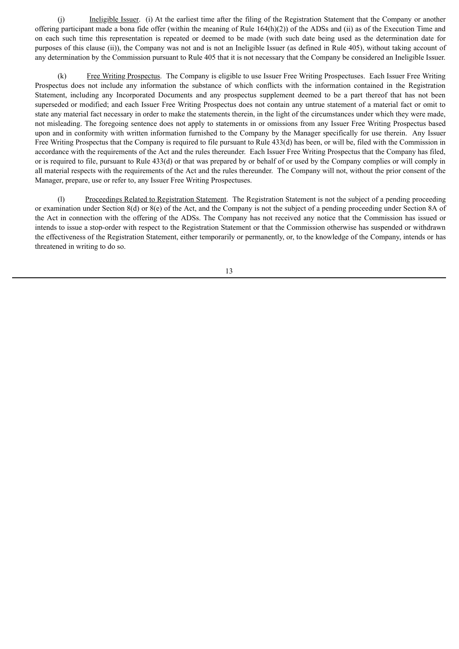(j) Ineligible Issuer. (i) At the earliest time after the filing of the Registration Statement that the Company or another offering participant made a bona fide offer (within the meaning of Rule 164(h)(2)) of the ADSs and (ii) as of the Execution Time and on each such time this representation is repeated or deemed to be made (with such date being used as the determination date for purposes of this clause (ii)), the Company was not and is not an Ineligible Issuer (as defined in Rule 405), without taking account of any determination by the Commission pursuant to Rule 405 that it is not necessary that the Company be considered an Ineligible Issuer.

(k) Free Writing Prospectus. The Company is eligible to use Issuer Free Writing Prospectuses. Each Issuer Free Writing Prospectus does not include any information the substance of which conflicts with the information contained in the Registration Statement, including any Incorporated Documents and any prospectus supplement deemed to be a part thereof that has not been superseded or modified; and each Issuer Free Writing Prospectus does not contain any untrue statement of a material fact or omit to state any material fact necessary in order to make the statements therein, in the light of the circumstances under which they were made, not misleading. The foregoing sentence does not apply to statements in or omissions from any Issuer Free Writing Prospectus based upon and in conformity with written information furnished to the Company by the Manager specifically for use therein. Any Issuer Free Writing Prospectus that the Company is required to file pursuant to Rule 433(d) has been, or will be, filed with the Commission in accordance with the requirements of the Act and the rules thereunder. Each Issuer Free Writing Prospectus that the Company has filed, or is required to file, pursuant to Rule 433(d) or that was prepared by or behalf of or used by the Company complies or will comply in all material respects with the requirements of the Act and the rules thereunder. The Company will not, without the prior consent of the Manager, prepare, use or refer to, any Issuer Free Writing Prospectuses.

(l) Proceedings Related to Registration Statement. The Registration Statement is not the subject of a pending proceeding or examination under Section 8(d) or 8(e) of the Act, and the Company is not the subject of a pending proceeding under Section 8A of the Act in connection with the offering of the ADSs. The Company has not received any notice that the Commission has issued or intends to issue a stop-order with respect to the Registration Statement or that the Commission otherwise has suspended or withdrawn the effectiveness of the Registration Statement, either temporarily or permanently, or, to the knowledge of the Company, intends or has threatened in writing to do so.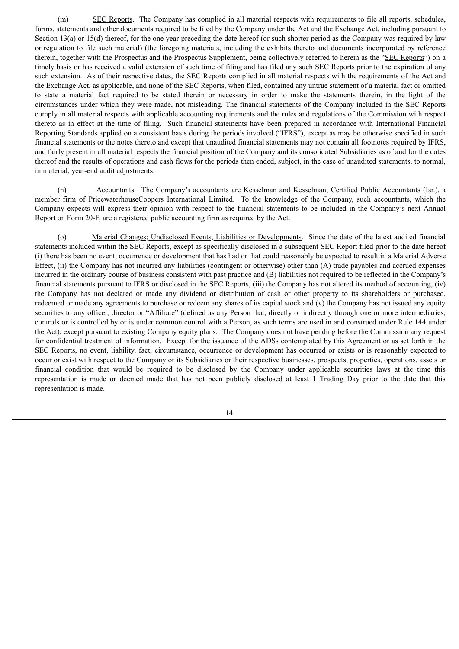(m) SEC Reports. The Company has complied in all material respects with requirements to file all reports, schedules, forms, statements and other documents required to be filed by the Company under the Act and the Exchange Act, including pursuant to Section 13(a) or 15(d) thereof, for the one year preceding the date hereof (or such shorter period as the Company was required by law or regulation to file such material) (the foregoing materials, including the exhibits thereto and documents incorporated by reference therein, together with the Prospectus and the Prospectus Supplement, being collectively referred to herein as the "SEC Reports") on a timely basis or has received a valid extension of such time of filing and has filed any such SEC Reports prior to the expiration of any such extension. As of their respective dates, the SEC Reports complied in all material respects with the requirements of the Act and the Exchange Act, as applicable, and none of the SEC Reports, when filed, contained any untrue statement of a material fact or omitted to state a material fact required to be stated therein or necessary in order to make the statements therein, in the light of the circumstances under which they were made, not misleading. The financial statements of the Company included in the SEC Reports comply in all material respects with applicable accounting requirements and the rules and regulations of the Commission with respect thereto as in effect at the time of filing. Such financial statements have been prepared in accordance with International Financial Reporting Standards applied on a consistent basis during the periods involved ("IFRS"), except as may be otherwise specified in such financial statements or the notes thereto and except that unaudited financial statements may not contain all footnotes required by IFRS, and fairly present in all material respects the financial position of the Company and its consolidated Subsidiaries as of and for the dates thereof and the results of operations and cash flows for the periods then ended, subject, in the case of unaudited statements, to normal, immaterial, year-end audit adjustments.

(n) Accountants. The Company's accountants are Kesselman and Kesselman, Certified Public Accountants (Isr.), a member firm of PricewaterhouseCoopers International Limited. To the knowledge of the Company, such accountants, which the Company expects will express their opinion with respect to the financial statements to be included in the Company's next Annual Report on Form 20-F, are a registered public accounting firm as required by the Act.

(o) Material Changes; Undisclosed Events, Liabilities or Developments. Since the date of the latest audited financial statements included within the SEC Reports, except as specifically disclosed in a subsequent SEC Report filed prior to the date hereof (i) there has been no event, occurrence or development that has had or that could reasonably be expected to result in a Material Adverse Effect, (ii) the Company has not incurred any liabilities (contingent or otherwise) other than (A) trade payables and accrued expenses incurred in the ordinary course of business consistent with past practice and (B) liabilities not required to be reflected in the Company's financial statements pursuant to IFRS or disclosed in the SEC Reports, (iii) the Company has not altered its method of accounting, (iv) the Company has not declared or made any dividend or distribution of cash or other property to its shareholders or purchased, redeemed or made any agreements to purchase or redeem any shares of its capital stock and (v) the Company has not issued any equity securities to any officer, director or "Affiliate" (defined as any Person that, directly or indirectly through one or more intermediaries, controls or is controlled by or is under common control with a Person, as such terms are used in and construed under Rule 144 under the Act), except pursuant to existing Company equity plans. The Company does not have pending before the Commission any request for confidential treatment of information. Except for the issuance of the ADSs contemplated by this Agreement or as set forth in the SEC Reports, no event, liability, fact, circumstance, occurrence or development has occurred or exists or is reasonably expected to occur or exist with respect to the Company or its Subsidiaries or their respective businesses, prospects, properties, operations, assets or financial condition that would be required to be disclosed by the Company under applicable securities laws at the time this representation is made or deemed made that has not been publicly disclosed at least 1 Trading Day prior to the date that this representation is made.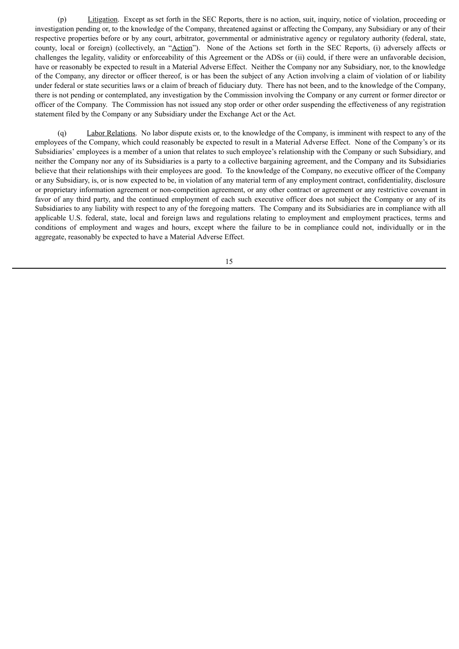(p) Litigation. Except as set forth in the SEC Reports, there is no action, suit, inquiry, notice of violation, proceeding or investigation pending or, to the knowledge of the Company, threatened against or affecting the Company, any Subsidiary or any of their respective properties before or by any court, arbitrator, governmental or administrative agency or regulatory authority (federal, state, county, local or foreign) (collectively, an "Action"). None of the Actions set forth in the SEC Reports, (i) adversely affects or challenges the legality, validity or enforceability of this Agreement or the ADSs or (ii) could, if there were an unfavorable decision, have or reasonably be expected to result in a Material Adverse Effect. Neither the Company nor any Subsidiary, nor, to the knowledge of the Company, any director or officer thereof, is or has been the subject of any Action involving a claim of violation of or liability under federal or state securities laws or a claim of breach of fiduciary duty. There has not been, and to the knowledge of the Company, there is not pending or contemplated, any investigation by the Commission involving the Company or any current or former director or officer of the Company. The Commission has not issued any stop order or other order suspending the effectiveness of any registration statement filed by the Company or any Subsidiary under the Exchange Act or the Act.

(q) Labor Relations. No labor dispute exists or, to the knowledge of the Company, is imminent with respect to any of the employees of the Company, which could reasonably be expected to result in a Material Adverse Effect. None of the Company's or its Subsidiaries' employees is a member of a union that relates to such employee's relationship with the Company or such Subsidiary, and neither the Company nor any of its Subsidiaries is a party to a collective bargaining agreement, and the Company and its Subsidiaries believe that their relationships with their employees are good. To the knowledge of the Company, no executive officer of the Company or any Subsidiary, is, or is now expected to be, in violation of any material term of any employment contract, confidentiality, disclosure or proprietary information agreement or non-competition agreement, or any other contract or agreement or any restrictive covenant in favor of any third party, and the continued employment of each such executive officer does not subject the Company or any of its Subsidiaries to any liability with respect to any of the foregoing matters. The Company and its Subsidiaries are in compliance with all applicable U.S. federal, state, local and foreign laws and regulations relating to employment and employment practices, terms and conditions of employment and wages and hours, except where the failure to be in compliance could not, individually or in the aggregate, reasonably be expected to have a Material Adverse Effect.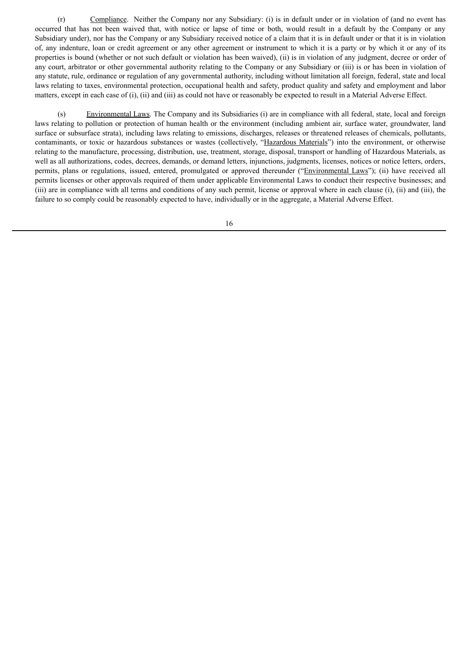(r) Compliance. Neither the Company nor any Subsidiary: (i) is in default under or in violation of (and no event has occurred that has not been waived that, with notice or lapse of time or both, would result in a default by the Company or any Subsidiary under), nor has the Company or any Subsidiary received notice of a claim that it is in default under or that it is in violation of, any indenture, loan or credit agreement or any other agreement or instrument to which it is a party or by which it or any of its properties is bound (whether or not such default or violation has been waived), (ii) is in violation of any judgment, decree or order of any court, arbitrator or other governmental authority relating to the Company or any Subsidiary or (iii) is or has been in violation of any statute, rule, ordinance or regulation of any governmental authority, including without limitation all foreign, federal, state and local laws relating to taxes, environmental protection, occupational health and safety, product quality and safety and employment and labor matters, except in each case of (i), (ii) and (iii) as could not have or reasonably be expected to result in a Material Adverse Effect.

(s) Environmental Laws. The Company and its Subsidiaries (i) are in compliance with all federal, state, local and foreign laws relating to pollution or protection of human health or the environment (including ambient air, surface water, groundwater, land surface or subsurface strata), including laws relating to emissions, discharges, releases or threatened releases of chemicals, pollutants, contaminants, or toxic or hazardous substances or wastes (collectively, "Hazardous Materials") into the environment, or otherwise relating to the manufacture, processing, distribution, use, treatment, storage, disposal, transport or handling of Hazardous Materials, as well as all authorizations, codes, decrees, demands, or demand letters, injunctions, judgments, licenses, notices or notice letters, orders, permits, plans or regulations, issued, entered, promulgated or approved thereunder ("Environmental Laws"); (ii) have received all permits licenses or other approvals required of them under applicable Environmental Laws to conduct their respective businesses; and (iii) are in compliance with all terms and conditions of any such permit, license or approval where in each clause (i), (ii) and (iii), the failure to so comply could be reasonably expected to have, individually or in the aggregate, a Material Adverse Effect.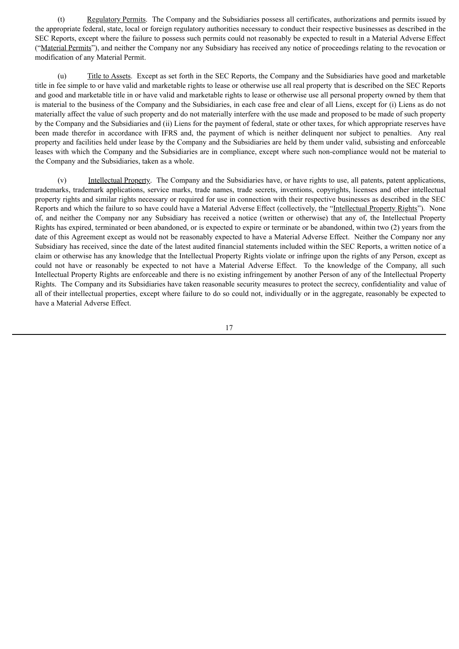(t) Regulatory Permits. The Company and the Subsidiaries possess all certificates, authorizations and permits issued by the appropriate federal, state, local or foreign regulatory authorities necessary to conduct their respective businesses as described in the SEC Reports, except where the failure to possess such permits could not reasonably be expected to result in a Material Adverse Effect ("Material Permits"), and neither the Company nor any Subsidiary has received any notice of proceedings relating to the revocation or modification of any Material Permit.

(u) Title to Assets. Except as set forth in the SEC Reports, the Company and the Subsidiaries have good and marketable title in fee simple to or have valid and marketable rights to lease or otherwise use all real property that is described on the SEC Reports and good and marketable title in or have valid and marketable rights to lease or otherwise use all personal property owned by them that is material to the business of the Company and the Subsidiaries, in each case free and clear of all Liens, except for (i) Liens as do not materially affect the value of such property and do not materially interfere with the use made and proposed to be made of such property by the Company and the Subsidiaries and (ii) Liens for the payment of federal, state or other taxes, for which appropriate reserves have been made therefor in accordance with IFRS and, the payment of which is neither delinquent nor subject to penalties. Any real property and facilities held under lease by the Company and the Subsidiaries are held by them under valid, subsisting and enforceable leases with which the Company and the Subsidiaries are in compliance, except where such non-compliance would not be material to the Company and the Subsidiaries, taken as a whole.

(v) Intellectual Property. The Company and the Subsidiaries have, or have rights to use, all patents, patent applications, trademarks, trademark applications, service marks, trade names, trade secrets, inventions, copyrights, licenses and other intellectual property rights and similar rights necessary or required for use in connection with their respective businesses as described in the SEC Reports and which the failure to so have could have a Material Adverse Effect (collectively, the "Intellectual Property Rights"). None of, and neither the Company nor any Subsidiary has received a notice (written or otherwise) that any of, the Intellectual Property Rights has expired, terminated or been abandoned, or is expected to expire or terminate or be abandoned, within two (2) years from the date of this Agreement except as would not be reasonably expected to have a Material Adverse Effect. Neither the Company nor any Subsidiary has received, since the date of the latest audited financial statements included within the SEC Reports, a written notice of a claim or otherwise has any knowledge that the Intellectual Property Rights violate or infringe upon the rights of any Person, except as could not have or reasonably be expected to not have a Material Adverse Effect. To the knowledge of the Company, all such Intellectual Property Rights are enforceable and there is no existing infringement by another Person of any of the Intellectual Property Rights. The Company and its Subsidiaries have taken reasonable security measures to protect the secrecy, confidentiality and value of all of their intellectual properties, except where failure to do so could not, individually or in the aggregate, reasonably be expected to have a Material Adverse Effect.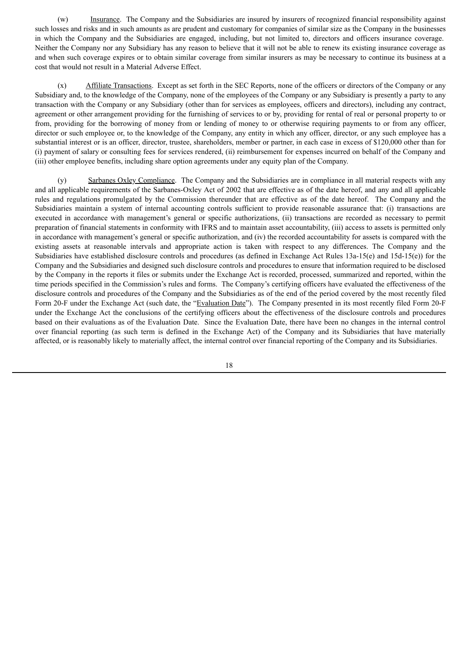(w) Insurance. The Company and the Subsidiaries are insured by insurers of recognized financial responsibility against such losses and risks and in such amounts as are prudent and customary for companies of similar size as the Company in the businesses in which the Company and the Subsidiaries are engaged, including, but not limited to, directors and officers insurance coverage. Neither the Company nor any Subsidiary has any reason to believe that it will not be able to renew its existing insurance coverage as and when such coverage expires or to obtain similar coverage from similar insurers as may be necessary to continue its business at a cost that would not result in a Material Adverse Effect.

(x) Affiliate Transactions. Except as set forth in the SEC Reports, none of the officers or directors of the Company or any Subsidiary and, to the knowledge of the Company, none of the employees of the Company or any Subsidiary is presently a party to any transaction with the Company or any Subsidiary (other than for services as employees, officers and directors), including any contract, agreement or other arrangement providing for the furnishing of services to or by, providing for rental of real or personal property to or from, providing for the borrowing of money from or lending of money to or otherwise requiring payments to or from any officer, director or such employee or, to the knowledge of the Company, any entity in which any officer, director, or any such employee has a substantial interest or is an officer, director, trustee, shareholders, member or partner, in each case in excess of \$120,000 other than for (i) payment of salary or consulting fees for services rendered, (ii) reimbursement for expenses incurred on behalf of the Company and (iii) other employee benefits, including share option agreements under any equity plan of the Company.

(y) Sarbanes Oxley Compliance. The Company and the Subsidiaries are in compliance in all material respects with any and all applicable requirements of the Sarbanes-Oxley Act of 2002 that are effective as of the date hereof, and any and all applicable rules and regulations promulgated by the Commission thereunder that are effective as of the date hereof. The Company and the Subsidiaries maintain a system of internal accounting controls sufficient to provide reasonable assurance that: (i) transactions are executed in accordance with management's general or specific authorizations, (ii) transactions are recorded as necessary to permit preparation of financial statements in conformity with IFRS and to maintain asset accountability, (iii) access to assets is permitted only in accordance with management's general or specific authorization, and (iv) the recorded accountability for assets is compared with the existing assets at reasonable intervals and appropriate action is taken with respect to any differences. The Company and the Subsidiaries have established disclosure controls and procedures (as defined in Exchange Act Rules 13a-15(e) and 15d-15(e)) for the Company and the Subsidiaries and designed such disclosure controls and procedures to ensure that information required to be disclosed by the Company in the reports it files or submits under the Exchange Act is recorded, processed, summarized and reported, within the time periods specified in the Commission's rules and forms. The Company's certifying officers have evaluated the effectiveness of the disclosure controls and procedures of the Company and the Subsidiaries as of the end of the period covered by the most recently filed Form 20-F under the Exchange Act (such date, the "Evaluation Date"). The Company presented in its most recently filed Form 20-F under the Exchange Act the conclusions of the certifying officers about the effectiveness of the disclosure controls and procedures based on their evaluations as of the Evaluation Date. Since the Evaluation Date, there have been no changes in the internal control over financial reporting (as such term is defined in the Exchange Act) of the Company and its Subsidiaries that have materially affected, or is reasonably likely to materially affect, the internal control over financial reporting of the Company and its Subsidiaries.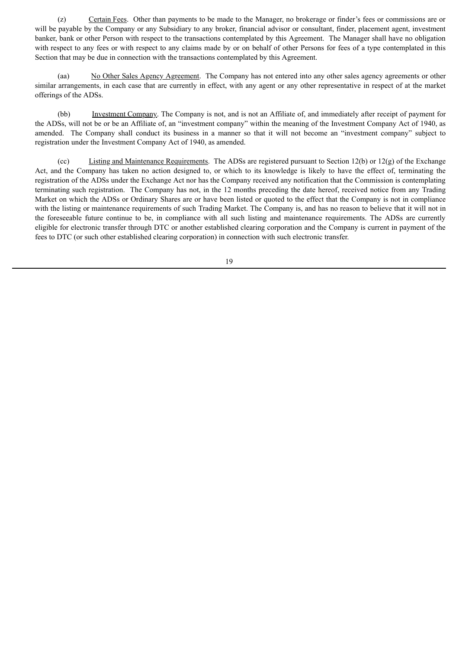(z) Certain Fees. Other than payments to be made to the Manager, no brokerage or finder's fees or commissions are or will be payable by the Company or any Subsidiary to any broker, financial advisor or consultant, finder, placement agent, investment banker, bank or other Person with respect to the transactions contemplated by this Agreement. The Manager shall have no obligation with respect to any fees or with respect to any claims made by or on behalf of other Persons for fees of a type contemplated in this Section that may be due in connection with the transactions contemplated by this Agreement.

(aa) No Other Sales Agency Agreement. The Company has not entered into any other sales agency agreements or other similar arrangements, in each case that are currently in effect, with any agent or any other representative in respect of at the market offerings of the ADSs.

(bb) Investment Company. The Company is not, and is not an Affiliate of, and immediately after receipt of payment for the ADSs, will not be or be an Affiliate of, an "investment company" within the meaning of the Investment Company Act of 1940, as amended. The Company shall conduct its business in a manner so that it will not become an "investment company" subject to registration under the Investment Company Act of 1940, as amended.

(cc) Listing and Maintenance Requirements. The ADSs are registered pursuant to Section 12(b) or 12(g) of the Exchange Act, and the Company has taken no action designed to, or which to its knowledge is likely to have the effect of, terminating the registration of the ADSs under the Exchange Act nor has the Company received any notification that the Commission is contemplating terminating such registration. The Company has not, in the 12 months preceding the date hereof, received notice from any Trading Market on which the ADSs or Ordinary Shares are or have been listed or quoted to the effect that the Company is not in compliance with the listing or maintenance requirements of such Trading Market. The Company is, and has no reason to believe that it will not in the foreseeable future continue to be, in compliance with all such listing and maintenance requirements. The ADSs are currently eligible for electronic transfer through DTC or another established clearing corporation and the Company is current in payment of the fees to DTC (or such other established clearing corporation) in connection with such electronic transfer.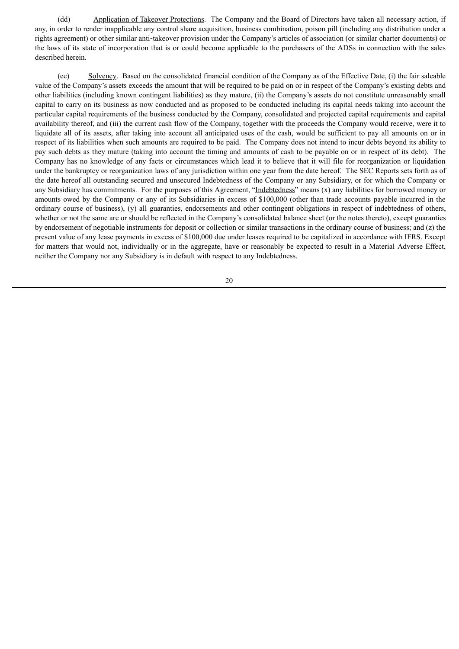(dd) Application of Takeover Protections. The Company and the Board of Directors have taken all necessary action, if any, in order to render inapplicable any control share acquisition, business combination, poison pill (including any distribution under a rights agreement) or other similar anti‑takeover provision under the Company's articles of association (or similar charter documents) or the laws of its state of incorporation that is or could become applicable to the purchasers of the ADSs in connection with the sales described herein.

(ee) Solvency. Based on the consolidated financial condition of the Company as of the Effective Date, (i) the fair saleable value of the Company's assets exceeds the amount that will be required to be paid on or in respect of the Company's existing debts and other liabilities (including known contingent liabilities) as they mature, (ii) the Company's assets do not constitute unreasonably small capital to carry on its business as now conducted and as proposed to be conducted including its capital needs taking into account the particular capital requirements of the business conducted by the Company, consolidated and projected capital requirements and capital availability thereof, and (iii) the current cash flow of the Company, together with the proceeds the Company would receive, were it to liquidate all of its assets, after taking into account all anticipated uses of the cash, would be sufficient to pay all amounts on or in respect of its liabilities when such amounts are required to be paid. The Company does not intend to incur debts beyond its ability to pay such debts as they mature (taking into account the timing and amounts of cash to be payable on or in respect of its debt). The Company has no knowledge of any facts or circumstances which lead it to believe that it will file for reorganization or liquidation under the bankruptcy or reorganization laws of any jurisdiction within one year from the date hereof. The SEC Reports sets forth as of the date hereof all outstanding secured and unsecured Indebtedness of the Company or any Subsidiary, or for which the Company or any Subsidiary has commitments. For the purposes of this Agreement, "Indebtedness" means (x) any liabilities for borrowed money or amounts owed by the Company or any of its Subsidiaries in excess of \$100,000 (other than trade accounts payable incurred in the ordinary course of business), (y) all guaranties, endorsements and other contingent obligations in respect of indebtedness of others, whether or not the same are or should be reflected in the Company's consolidated balance sheet (or the notes thereto), except guaranties by endorsement of negotiable instruments for deposit or collection or similar transactions in the ordinary course of business; and (z) the present value of any lease payments in excess of \$100,000 due under leases required to be capitalized in accordance with IFRS. Except for matters that would not, individually or in the aggregate, have or reasonably be expected to result in a Material Adverse Effect, neither the Company nor any Subsidiary is in default with respect to any Indebtedness.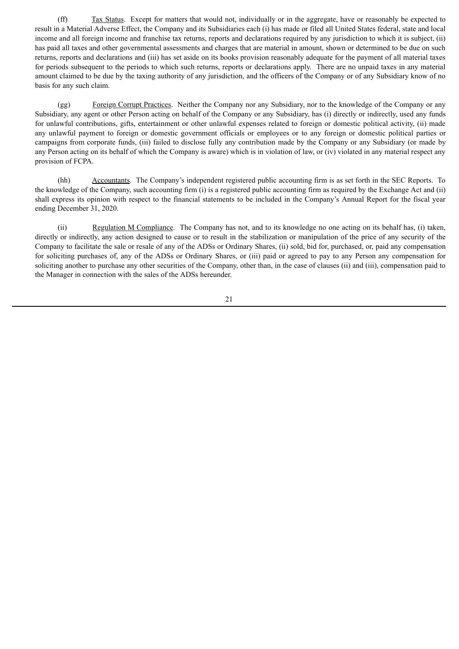(ff) Tax Status. Except for matters that would not, individually or in the aggregate, have or reasonably be expected to result in a Material Adverse Effect, the Company and its Subsidiaries each (i) has made or filed all United States federal, state and local income and all foreign income and franchise tax returns, reports and declarations required by any jurisdiction to which it is subject, (ii) has paid all taxes and other governmental assessments and charges that are material in amount, shown or determined to be due on such returns, reports and declarations and (iii) has set aside on its books provision reasonably adequate for the payment of all material taxes for periods subsequent to the periods to which such returns, reports or declarations apply. There are no unpaid taxes in any material amount claimed to be due by the taxing authority of any jurisdiction, and the officers of the Company or of any Subsidiary know of no basis for any such claim.

(gg) Foreign Corrupt Practices. Neither the Company nor any Subsidiary, nor to the knowledge of the Company or any Subsidiary, any agent or other Person acting on behalf of the Company or any Subsidiary, has (i) directly or indirectly, used any funds for unlawful contributions, gifts, entertainment or other unlawful expenses related to foreign or domestic political activity, (ii) made any unlawful payment to foreign or domestic government officials or employees or to any foreign or domestic political parties or campaigns from corporate funds, (iii) failed to disclose fully any contribution made by the Company or any Subsidiary (or made by any Person acting on its behalf of which the Company is aware) which is in violation of law, or (iv) violated in any material respect any provision of FCPA.

(hh) Accountants. The Company's independent registered public accounting firm is as set forth in the SEC Reports. To the knowledge of the Company, such accounting firm (i) is a registered public accounting firm as required by the Exchange Act and (ii) shall express its opinion with respect to the financial statements to be included in the Company's Annual Report for the fiscal year ending December 31, 2020.

(ii) Regulation M Compliance. The Company has not, and to its knowledge no one acting on its behalf has, (i) taken, directly or indirectly, any action designed to cause or to result in the stabilization or manipulation of the price of any security of the Company to facilitate the sale or resale of any of the ADSs or Ordinary Shares, (ii) sold, bid for, purchased, or, paid any compensation for soliciting purchases of, any of the ADSs or Ordinary Shares, or (iii) paid or agreed to pay to any Person any compensation for soliciting another to purchase any other securities of the Company, other than, in the case of clauses (ii) and (iii), compensation paid to the Manager in connection with the sales of the ADSs hereunder.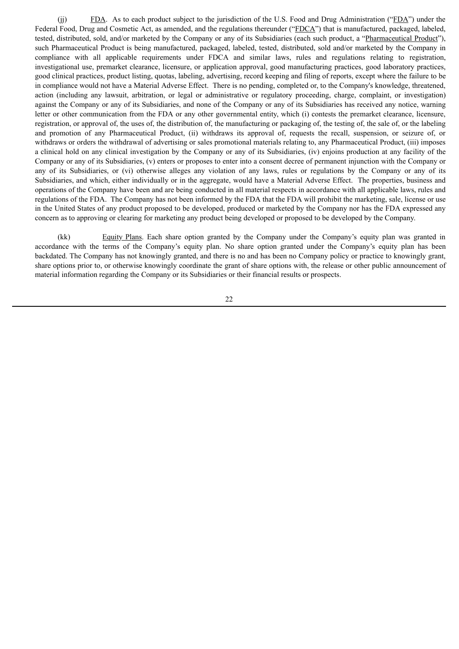(ii) FDA. As to each product subject to the jurisdiction of the U.S. Food and Drug Administration (" $EDA$ ") under the Federal Food, Drug and Cosmetic Act, as amended, and the regulations thereunder ("FDCA") that is manufactured, packaged, labeled, tested, distributed, sold, and/or marketed by the Company or any of its Subsidiaries (each such product, a "Pharmaceutical Product"), such Pharmaceutical Product is being manufactured, packaged, labeled, tested, distributed, sold and/or marketed by the Company in compliance with all applicable requirements under FDCA and similar laws, rules and regulations relating to registration, investigational use, premarket clearance, licensure, or application approval, good manufacturing practices, good laboratory practices, good clinical practices, product listing, quotas, labeling, advertising, record keeping and filing of reports, except where the failure to be in compliance would not have a Material Adverse Effect. There is no pending, completed or, to the Company's knowledge, threatened, action (including any lawsuit, arbitration, or legal or administrative or regulatory proceeding, charge, complaint, or investigation) against the Company or any of its Subsidiaries, and none of the Company or any of its Subsidiaries has received any notice, warning letter or other communication from the FDA or any other governmental entity, which (i) contests the premarket clearance, licensure, registration, or approval of, the uses of, the distribution of, the manufacturing or packaging of, the testing of, the sale of, or the labeling and promotion of any Pharmaceutical Product, (ii) withdraws its approval of, requests the recall, suspension, or seizure of, or withdraws or orders the withdrawal of advertising or sales promotional materials relating to, any Pharmaceutical Product, (iii) imposes a clinical hold on any clinical investigation by the Company or any of its Subsidiaries, (iv) enjoins production at any facility of the Company or any of its Subsidiaries, (v) enters or proposes to enter into a consent decree of permanent injunction with the Company or any of its Subsidiaries, or (vi) otherwise alleges any violation of any laws, rules or regulations by the Company or any of its Subsidiaries, and which, either individually or in the aggregate, would have a Material Adverse Effect. The properties, business and operations of the Company have been and are being conducted in all material respects in accordance with all applicable laws, rules and regulations of the FDA. The Company has not been informed by the FDA that the FDA will prohibit the marketing, sale, license or use in the United States of any product proposed to be developed, produced or marketed by the Company nor has the FDA expressed any concern as to approving or clearing for marketing any product being developed or proposed to be developed by the Company.

(kk) Equity Plans. Each share option granted by the Company under the Company's equity plan was granted in accordance with the terms of the Company's equity plan. No share option granted under the Company's equity plan has been backdated. The Company has not knowingly granted, and there is no and has been no Company policy or practice to knowingly grant, share options prior to, or otherwise knowingly coordinate the grant of share options with, the release or other public announcement of material information regarding the Company or its Subsidiaries or their financial results or prospects.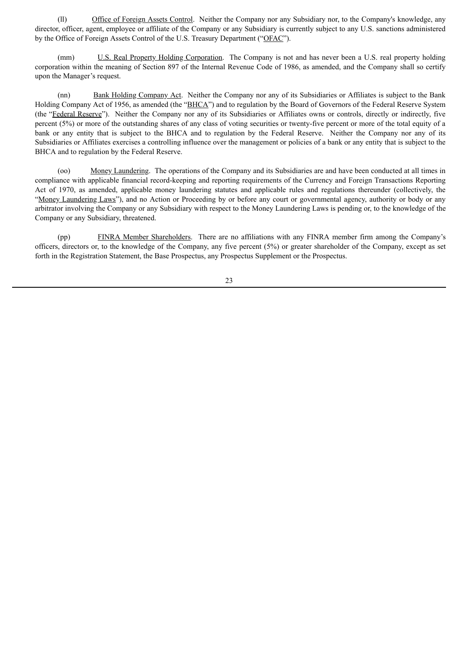(ll) Office of Foreign Assets Control. Neither the Company nor any Subsidiary nor, to the Company's knowledge, any director, officer, agent, employee or affiliate of the Company or any Subsidiary is currently subject to any U.S. sanctions administered by the Office of Foreign Assets Control of the U.S. Treasury Department ("OFAC").

(mm) U.S. Real Property Holding Corporation. The Company is not and has never been a U.S. real property holding corporation within the meaning of Section 897 of the Internal Revenue Code of 1986, as amended, and the Company shall so certify upon the Manager's request.

(nn) Bank Holding Company Act. Neither the Company nor any of its Subsidiaries or Affiliates is subject to the Bank Holding Company Act of 1956, as amended (the "BHCA") and to regulation by the Board of Governors of the Federal Reserve System (the "Federal Reserve"). Neither the Company nor any of its Subsidiaries or Affiliates owns or controls, directly or indirectly, five percent (5%) or more of the outstanding shares of any class of voting securities or twenty-five percent or more of the total equity of a bank or any entity that is subject to the BHCA and to regulation by the Federal Reserve. Neither the Company nor any of its Subsidiaries or Affiliates exercises a controlling influence over the management or policies of a bank or any entity that is subject to the BHCA and to regulation by the Federal Reserve.

(oo) Money Laundering. The operations of the Company and its Subsidiaries are and have been conducted at all times in compliance with applicable financial record-keeping and reporting requirements of the Currency and Foreign Transactions Reporting Act of 1970, as amended, applicable money laundering statutes and applicable rules and regulations thereunder (collectively, the "Money Laundering Laws"), and no Action or Proceeding by or before any court or governmental agency, authority or body or any arbitrator involving the Company or any Subsidiary with respect to the Money Laundering Laws is pending or, to the knowledge of the Company or any Subsidiary, threatened.

(pp) FINRA Member Shareholders. There are no affiliations with any FINRA member firm among the Company's officers, directors or, to the knowledge of the Company, any five percent (5%) or greater shareholder of the Company, except as set forth in the Registration Statement, the Base Prospectus, any Prospectus Supplement or the Prospectus.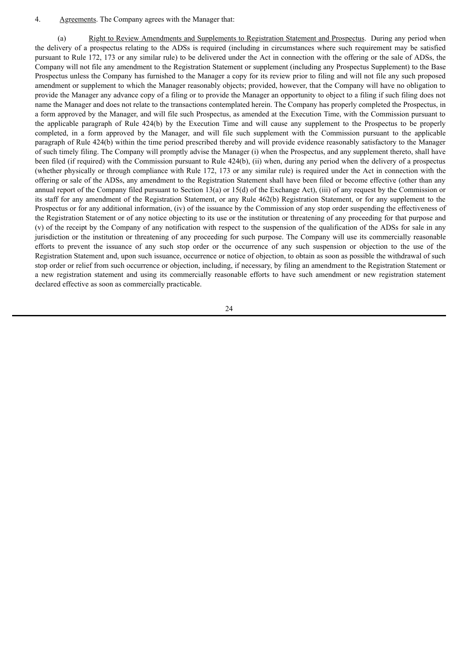#### 4. Agreements. The Company agrees with the Manager that:

(a) Right to Review Amendments and Supplements to Registration Statement and Prospectus. During any period when the delivery of a prospectus relating to the ADSs is required (including in circumstances where such requirement may be satisfied pursuant to Rule 172, 173 or any similar rule) to be delivered under the Act in connection with the offering or the sale of ADSs, the Company will not file any amendment to the Registration Statement or supplement (including any Prospectus Supplement) to the Base Prospectus unless the Company has furnished to the Manager a copy for its review prior to filing and will not file any such proposed amendment or supplement to which the Manager reasonably objects; provided, however, that the Company will have no obligation to provide the Manager any advance copy of a filing or to provide the Manager an opportunity to object to a filing if such filing does not name the Manager and does not relate to the transactions contemplated herein. The Company has properly completed the Prospectus, in a form approved by the Manager, and will file such Prospectus, as amended at the Execution Time, with the Commission pursuant to the applicable paragraph of Rule 424(b) by the Execution Time and will cause any supplement to the Prospectus to be properly completed, in a form approved by the Manager, and will file such supplement with the Commission pursuant to the applicable paragraph of Rule 424(b) within the time period prescribed thereby and will provide evidence reasonably satisfactory to the Manager of such timely filing. The Company will promptly advise the Manager (i) when the Prospectus, and any supplement thereto, shall have been filed (if required) with the Commission pursuant to Rule 424(b), (ii) when, during any period when the delivery of a prospectus (whether physically or through compliance with Rule 172, 173 or any similar rule) is required under the Act in connection with the offering or sale of the ADSs, any amendment to the Registration Statement shall have been filed or become effective (other than any annual report of the Company filed pursuant to Section 13(a) or 15(d) of the Exchange Act), (iii) of any request by the Commission or its staff for any amendment of the Registration Statement, or any Rule 462(b) Registration Statement, or for any supplement to the Prospectus or for any additional information, (iv) of the issuance by the Commission of any stop order suspending the effectiveness of the Registration Statement or of any notice objecting to its use or the institution or threatening of any proceeding for that purpose and (v) of the receipt by the Company of any notification with respect to the suspension of the qualification of the ADSs for sale in any jurisdiction or the institution or threatening of any proceeding for such purpose. The Company will use its commercially reasonable efforts to prevent the issuance of any such stop order or the occurrence of any such suspension or objection to the use of the Registration Statement and, upon such issuance, occurrence or notice of objection, to obtain as soon as possible the withdrawal of such stop order or relief from such occurrence or objection, including, if necessary, by filing an amendment to the Registration Statement or a new registration statement and using its commercially reasonable efforts to have such amendment or new registration statement declared effective as soon as commercially practicable.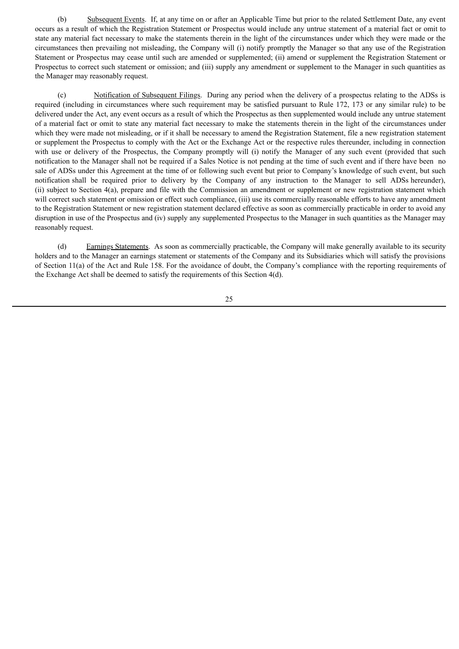(b) Subsequent Events. If, at any time on or after an Applicable Time but prior to the related Settlement Date, any event occurs as a result of which the Registration Statement or Prospectus would include any untrue statement of a material fact or omit to state any material fact necessary to make the statements therein in the light of the circumstances under which they were made or the circumstances then prevailing not misleading, the Company will (i) notify promptly the Manager so that any use of the Registration Statement or Prospectus may cease until such are amended or supplemented; (ii) amend or supplement the Registration Statement or Prospectus to correct such statement or omission; and (iii) supply any amendment or supplement to the Manager in such quantities as the Manager may reasonably request.

(c) Notification of Subsequent Filings. During any period when the delivery of a prospectus relating to the ADSs is required (including in circumstances where such requirement may be satisfied pursuant to Rule 172, 173 or any similar rule) to be delivered under the Act, any event occurs as a result of which the Prospectus as then supplemented would include any untrue statement of a material fact or omit to state any material fact necessary to make the statements therein in the light of the circumstances under which they were made not misleading, or if it shall be necessary to amend the Registration Statement, file a new registration statement or supplement the Prospectus to comply with the Act or the Exchange Act or the respective rules thereunder, including in connection with use or delivery of the Prospectus, the Company promptly will (i) notify the Manager of any such event (provided that such notification to the Manager shall not be required if a Sales Notice is not pending at the time of such event and if there have been no sale of ADSs under this Agreement at the time of or following such event but prior to Company's knowledge of such event, but such notification shall be required prior to delivery by the Company of any instruction to the Manager to sell ADSs hereunder), (ii) subject to Section 4(a), prepare and file with the Commission an amendment or supplement or new registration statement which will correct such statement or omission or effect such compliance, (iii) use its commercially reasonable efforts to have any amendment to the Registration Statement or new registration statement declared effective as soon as commercially practicable in order to avoid any disruption in use of the Prospectus and (iv) supply any supplemented Prospectus to the Manager in such quantities as the Manager may reasonably request.

(d) Earnings Statements. As soon as commercially practicable, the Company will make generally available to its security holders and to the Manager an earnings statement or statements of the Company and its Subsidiaries which will satisfy the provisions of Section 11(a) of the Act and Rule 158. For the avoidance of doubt, the Company's compliance with the reporting requirements of the Exchange Act shall be deemed to satisfy the requirements of this Section 4(d).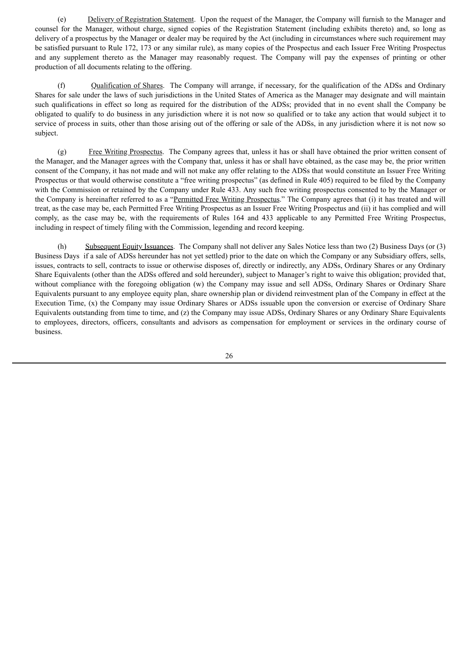(e) Delivery of Registration Statement. Upon the request of the Manager, the Company will furnish to the Manager and counsel for the Manager, without charge, signed copies of the Registration Statement (including exhibits thereto) and, so long as delivery of a prospectus by the Manager or dealer may be required by the Act (including in circumstances where such requirement may be satisfied pursuant to Rule 172, 173 or any similar rule), as many copies of the Prospectus and each Issuer Free Writing Prospectus and any supplement thereto as the Manager may reasonably request. The Company will pay the expenses of printing or other production of all documents relating to the offering.

(f) Qualification of Shares. The Company will arrange, if necessary, for the qualification of the ADSs and Ordinary Shares for sale under the laws of such jurisdictions in the United States of America as the Manager may designate and will maintain such qualifications in effect so long as required for the distribution of the ADSs; provided that in no event shall the Company be obligated to qualify to do business in any jurisdiction where it is not now so qualified or to take any action that would subject it to service of process in suits, other than those arising out of the offering or sale of the ADSs, in any jurisdiction where it is not now so subject.

(g) Free Writing Prospectus. The Company agrees that, unless it has or shall have obtained the prior written consent of the Manager, and the Manager agrees with the Company that, unless it has or shall have obtained, as the case may be, the prior written consent of the Company, it has not made and will not make any offer relating to the ADSs that would constitute an Issuer Free Writing Prospectus or that would otherwise constitute a "free writing prospectus" (as defined in Rule 405) required to be filed by the Company with the Commission or retained by the Company under Rule 433. Any such free writing prospectus consented to by the Manager or the Company is hereinafter referred to as a "Permitted Free Writing Prospectus." The Company agrees that (i) it has treated and will treat, as the case may be, each Permitted Free Writing Prospectus as an Issuer Free Writing Prospectus and (ii) it has complied and will comply, as the case may be, with the requirements of Rules 164 and 433 applicable to any Permitted Free Writing Prospectus, including in respect of timely filing with the Commission, legending and record keeping.

(h) Subsequent Equity Issuances. The Company shall not deliver any Sales Notice less than two (2) Business Days (or (3) Business Days if a sale of ADSs hereunder has not yet settled) prior to the date on which the Company or any Subsidiary offers, sells, issues, contracts to sell, contracts to issue or otherwise disposes of, directly or indirectly, any ADSs, Ordinary Shares or any Ordinary Share Equivalents (other than the ADSs offered and sold hereunder), subject to Manager's right to waive this obligation; provided that, without compliance with the foregoing obligation (w) the Company may issue and sell ADSs, Ordinary Shares or Ordinary Share Equivalents pursuant to any employee equity plan, share ownership plan or dividend reinvestment plan of the Company in effect at the Execution Time, (x) the Company may issue Ordinary Shares or ADSs issuable upon the conversion or exercise of Ordinary Share Equivalents outstanding from time to time, and (z) the Company may issue ADSs, Ordinary Shares or any Ordinary Share Equivalents to employees, directors, officers, consultants and advisors as compensation for employment or services in the ordinary course of business.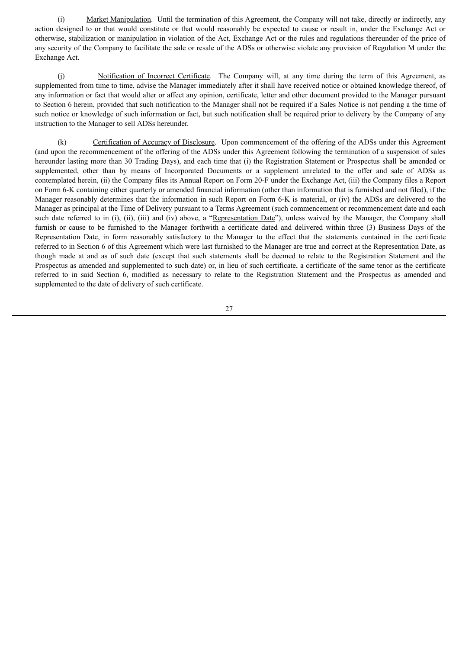(i) Market Manipulation. Until the termination of this Agreement, the Company will not take, directly or indirectly, any action designed to or that would constitute or that would reasonably be expected to cause or result in, under the Exchange Act or otherwise, stabilization or manipulation in violation of the Act, Exchange Act or the rules and regulations thereunder of the price of any security of the Company to facilitate the sale or resale of the ADSs or otherwise violate any provision of Regulation M under the Exchange Act.

(j) Notification of Incorrect Certificate. The Company will, at any time during the term of this Agreement, as supplemented from time to time, advise the Manager immediately after it shall have received notice or obtained knowledge thereof, of any information or fact that would alter or affect any opinion, certificate, letter and other document provided to the Manager pursuant to Section 6 herein, provided that such notification to the Manager shall not be required if a Sales Notice is not pending a the time of such notice or knowledge of such information or fact, but such notification shall be required prior to delivery by the Company of any instruction to the Manager to sell ADSs hereunder.

(k) Certification of Accuracy of Disclosure. Upon commencement of the offering of the ADSs under this Agreement (and upon the recommencement of the offering of the ADSs under this Agreement following the termination of a suspension of sales hereunder lasting more than 30 Trading Days), and each time that (i) the Registration Statement or Prospectus shall be amended or supplemented, other than by means of Incorporated Documents or a supplement unrelated to the offer and sale of ADSs as contemplated herein, (ii) the Company files its Annual Report on Form 20-F under the Exchange Act, (iii) the Company files a Report on Form 6-K containing either quarterly or amended financial information (other than information that is furnished and not filed), if the Manager reasonably determines that the information in such Report on Form 6-K is material, or (iv) the ADSs are delivered to the Manager as principal at the Time of Delivery pursuant to a Terms Agreement (such commencement or recommencement date and each such date referred to in (i), (ii), (iii) and (iv) above, a "Representation Date"), unless waived by the Manager, the Company shall furnish or cause to be furnished to the Manager forthwith a certificate dated and delivered within three (3) Business Days of the Representation Date, in form reasonably satisfactory to the Manager to the effect that the statements contained in the certificate referred to in Section 6 of this Agreement which were last furnished to the Manager are true and correct at the Representation Date, as though made at and as of such date (except that such statements shall be deemed to relate to the Registration Statement and the Prospectus as amended and supplemented to such date) or, in lieu of such certificate, a certificate of the same tenor as the certificate referred to in said Section 6, modified as necessary to relate to the Registration Statement and the Prospectus as amended and supplemented to the date of delivery of such certificate.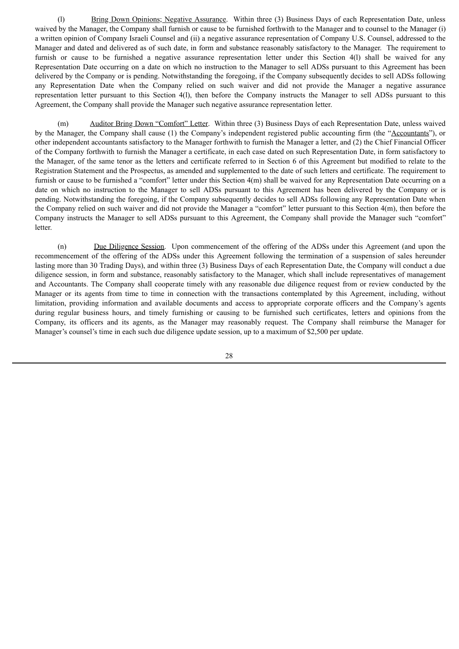(l) Bring Down Opinions; Negative Assurance. Within three (3) Business Days of each Representation Date, unless waived by the Manager, the Company shall furnish or cause to be furnished forthwith to the Manager and to counsel to the Manager (i) a written opinion of Company Israeli Counsel and (ii) a negative assurance representation of Company U.S. Counsel, addressed to the Manager and dated and delivered as of such date, in form and substance reasonably satisfactory to the Manager. The requirement to furnish or cause to be furnished a negative assurance representation letter under this Section 4(l) shall be waived for any Representation Date occurring on a date on which no instruction to the Manager to sell ADSs pursuant to this Agreement has been delivered by the Company or is pending. Notwithstanding the foregoing, if the Company subsequently decides to sell ADSs following any Representation Date when the Company relied on such waiver and did not provide the Manager a negative assurance representation letter pursuant to this Section 4(l), then before the Company instructs the Manager to sell ADSs pursuant to this Agreement, the Company shall provide the Manager such negative assurance representation letter.

(m) Auditor Bring Down "Comfort" Letter. Within three (3) Business Days of each Representation Date, unless waived by the Manager, the Company shall cause (1) the Company's independent registered public accounting firm (the "Accountants"), or other independent accountants satisfactory to the Manager forthwith to furnish the Manager a letter, and (2) the Chief Financial Officer of the Company forthwith to furnish the Manager a certificate, in each case dated on such Representation Date, in form satisfactory to the Manager, of the same tenor as the letters and certificate referred to in Section 6 of this Agreement but modified to relate to the Registration Statement and the Prospectus, as amended and supplemented to the date of such letters and certificate. The requirement to furnish or cause to be furnished a "comfort" letter under this Section 4(m) shall be waived for any Representation Date occurring on a date on which no instruction to the Manager to sell ADSs pursuant to this Agreement has been delivered by the Company or is pending. Notwithstanding the foregoing, if the Company subsequently decides to sell ADSs following any Representation Date when the Company relied on such waiver and did not provide the Manager a "comfort" letter pursuant to this Section 4(m), then before the Company instructs the Manager to sell ADSs pursuant to this Agreement, the Company shall provide the Manager such "comfort" letter.

(n) Due Diligence Session. Upon commencement of the offering of the ADSs under this Agreement (and upon the recommencement of the offering of the ADSs under this Agreement following the termination of a suspension of sales hereunder lasting more than 30 Trading Days), and within three (3) Business Days of each Representation Date, the Company will conduct a due diligence session, in form and substance, reasonably satisfactory to the Manager, which shall include representatives of management and Accountants. The Company shall cooperate timely with any reasonable due diligence request from or review conducted by the Manager or its agents from time to time in connection with the transactions contemplated by this Agreement, including, without limitation, providing information and available documents and access to appropriate corporate officers and the Company's agents during regular business hours, and timely furnishing or causing to be furnished such certificates, letters and opinions from the Company, its officers and its agents, as the Manager may reasonably request. The Company shall reimburse the Manager for Manager's counsel's time in each such due diligence update session, up to a maximum of \$2,500 per update.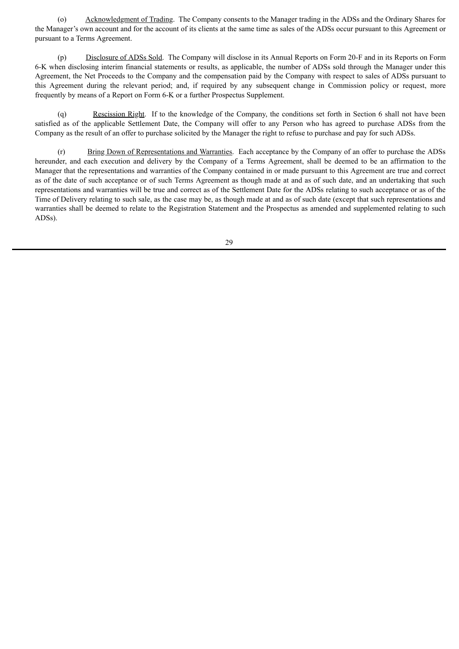(o) Acknowledgment of Trading. The Company consents to the Manager trading in the ADSs and the Ordinary Shares for the Manager's own account and for the account of its clients at the same time as sales of the ADSs occur pursuant to this Agreement or pursuant to a Terms Agreement.

(p) Disclosure of ADSs Sold. The Company will disclose in its Annual Reports on Form 20-F and in its Reports on Form 6-K when disclosing interim financial statements or results, as applicable, the number of ADSs sold through the Manager under this Agreement, the Net Proceeds to the Company and the compensation paid by the Company with respect to sales of ADSs pursuant to this Agreement during the relevant period; and, if required by any subsequent change in Commission policy or request, more frequently by means of a Report on Form 6-K or a further Prospectus Supplement.

(q) Rescission Right. If to the knowledge of the Company, the conditions set forth in Section 6 shall not have been satisfied as of the applicable Settlement Date, the Company will offer to any Person who has agreed to purchase ADSs from the Company as the result of an offer to purchase solicited by the Manager the right to refuse to purchase and pay for such ADSs.

(r) Bring Down of Representations and Warranties. Each acceptance by the Company of an offer to purchase the ADSs hereunder, and each execution and delivery by the Company of a Terms Agreement, shall be deemed to be an affirmation to the Manager that the representations and warranties of the Company contained in or made pursuant to this Agreement are true and correct as of the date of such acceptance or of such Terms Agreement as though made at and as of such date, and an undertaking that such representations and warranties will be true and correct as of the Settlement Date for the ADSs relating to such acceptance or as of the Time of Delivery relating to such sale, as the case may be, as though made at and as of such date (except that such representations and warranties shall be deemed to relate to the Registration Statement and the Prospectus as amended and supplemented relating to such ADSs).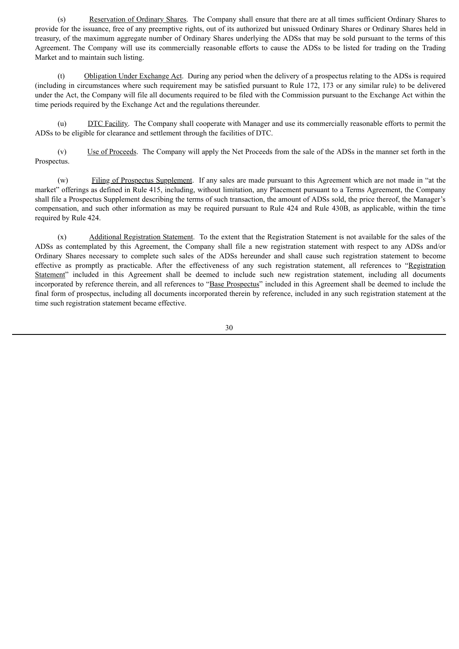(s) Reservation of Ordinary Shares. The Company shall ensure that there are at all times sufficient Ordinary Shares to provide for the issuance, free of any preemptive rights, out of its authorized but unissued Ordinary Shares or Ordinary Shares held in treasury, of the maximum aggregate number of Ordinary Shares underlying the ADSs that may be sold pursuant to the terms of this Agreement. The Company will use its commercially reasonable efforts to cause the ADSs to be listed for trading on the Trading Market and to maintain such listing.

(t) Obligation Under Exchange Act. During any period when the delivery of a prospectus relating to the ADSs is required (including in circumstances where such requirement may be satisfied pursuant to Rule 172, 173 or any similar rule) to be delivered under the Act, the Company will file all documents required to be filed with the Commission pursuant to the Exchange Act within the time periods required by the Exchange Act and the regulations thereunder.

(u) DTC Facility. The Company shall cooperate with Manager and use its commercially reasonable efforts to permit the ADSs to be eligible for clearance and settlement through the facilities of DTC.

(v) Use of Proceeds. The Company will apply the Net Proceeds from the sale of the ADSs in the manner set forth in the Prospectus.

(w) Filing of Prospectus Supplement. If any sales are made pursuant to this Agreement which are not made in "at the market" offerings as defined in Rule 415, including, without limitation, any Placement pursuant to a Terms Agreement, the Company shall file a Prospectus Supplement describing the terms of such transaction, the amount of ADSs sold, the price thereof, the Manager's compensation, and such other information as may be required pursuant to Rule 424 and Rule 430B, as applicable, within the time required by Rule 424.

(x) Additional Registration Statement. To the extent that the Registration Statement is not available for the sales of the ADSs as contemplated by this Agreement, the Company shall file a new registration statement with respect to any ADSs and/or Ordinary Shares necessary to complete such sales of the ADSs hereunder and shall cause such registration statement to become effective as promptly as practicable. After the effectiveness of any such registration statement, all references to "Registration Statement" included in this Agreement shall be deemed to include such new registration statement, including all documents incorporated by reference therein, and all references to "Base Prospectus" included in this Agreement shall be deemed to include the final form of prospectus, including all documents incorporated therein by reference, included in any such registration statement at the time such registration statement became effective.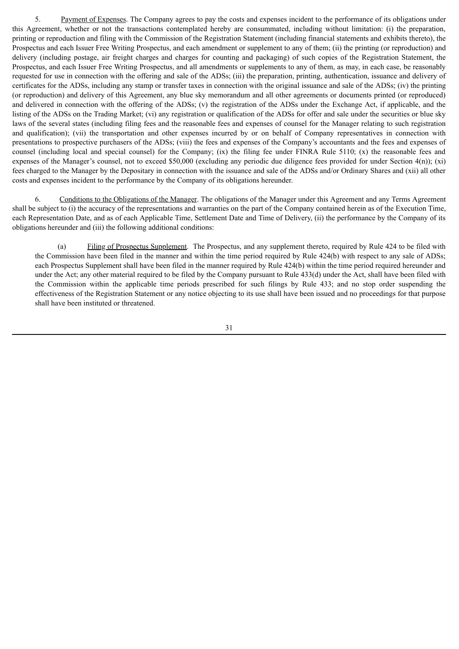5. Payment of Expenses. The Company agrees to pay the costs and expenses incident to the performance of its obligations under this Agreement, whether or not the transactions contemplated hereby are consummated, including without limitation: (i) the preparation, printing or reproduction and filing with the Commission of the Registration Statement (including financial statements and exhibits thereto), the Prospectus and each Issuer Free Writing Prospectus, and each amendment or supplement to any of them; (ii) the printing (or reproduction) and delivery (including postage, air freight charges and charges for counting and packaging) of such copies of the Registration Statement, the Prospectus, and each Issuer Free Writing Prospectus, and all amendments or supplements to any of them, as may, in each case, be reasonably requested for use in connection with the offering and sale of the ADSs; (iii) the preparation, printing, authentication, issuance and delivery of certificates for the ADSs, including any stamp or transfer taxes in connection with the original issuance and sale of the ADSs; (iv) the printing (or reproduction) and delivery of this Agreement, any blue sky memorandum and all other agreements or documents printed (or reproduced) and delivered in connection with the offering of the ADSs; (v) the registration of the ADSs under the Exchange Act, if applicable, and the listing of the ADSs on the Trading Market; (vi) any registration or qualification of the ADSs for offer and sale under the securities or blue sky laws of the several states (including filing fees and the reasonable fees and expenses of counsel for the Manager relating to such registration and qualification); (vii) the transportation and other expenses incurred by or on behalf of Company representatives in connection with presentations to prospective purchasers of the ADSs; (viii) the fees and expenses of the Company's accountants and the fees and expenses of counsel (including local and special counsel) for the Company; (ix) the filing fee under FINRA Rule 5110; (x) the reasonable fees and expenses of the Manager's counsel, not to exceed \$50,000 (excluding any periodic due diligence fees provided for under Section 4(n)); (xi) fees charged to the Manager by the Depositary in connection with the issuance and sale of the ADSs and/or Ordinary Shares and (xii) all other costs and expenses incident to the performance by the Company of its obligations hereunder.

6. Conditions to the Obligations of the Manager. The obligations of the Manager under this Agreement and any Terms Agreement shall be subject to (i) the accuracy of the representations and warranties on the part of the Company contained herein as of the Execution Time, each Representation Date, and as of each Applicable Time, Settlement Date and Time of Delivery, (ii) the performance by the Company of its obligations hereunder and (iii) the following additional conditions:

(a) Filing of Prospectus Supplement. The Prospectus, and any supplement thereto, required by Rule 424 to be filed with the Commission have been filed in the manner and within the time period required by Rule 424(b) with respect to any sale of ADSs; each Prospectus Supplement shall have been filed in the manner required by Rule 424(b) within the time period required hereunder and under the Act; any other material required to be filed by the Company pursuant to Rule 433(d) under the Act, shall have been filed with the Commission within the applicable time periods prescribed for such filings by Rule 433; and no stop order suspending the effectiveness of the Registration Statement or any notice objecting to its use shall have been issued and no proceedings for that purpose shall have been instituted or threatened.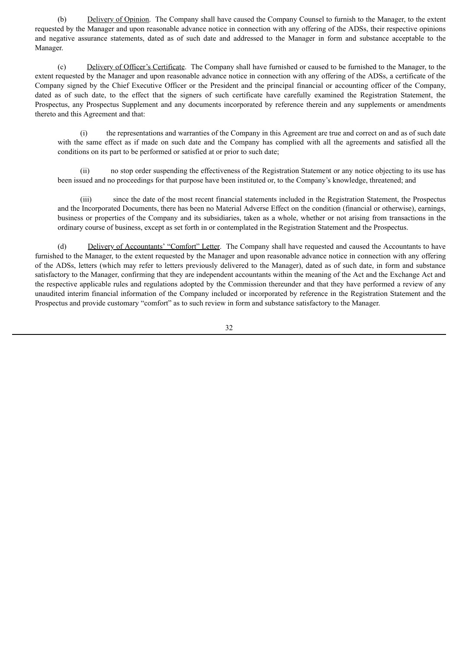(b) Delivery of Opinion. The Company shall have caused the Company Counsel to furnish to the Manager, to the extent requested by the Manager and upon reasonable advance notice in connection with any offering of the ADSs, their respective opinions and negative assurance statements, dated as of such date and addressed to the Manager in form and substance acceptable to the Manager.

(c) Delivery of Officer's Certificate. The Company shall have furnished or caused to be furnished to the Manager, to the extent requested by the Manager and upon reasonable advance notice in connection with any offering of the ADSs, a certificate of the Company signed by the Chief Executive Officer or the President and the principal financial or accounting officer of the Company, dated as of such date, to the effect that the signers of such certificate have carefully examined the Registration Statement, the Prospectus, any Prospectus Supplement and any documents incorporated by reference therein and any supplements or amendments thereto and this Agreement and that:

(i) the representations and warranties of the Company in this Agreement are true and correct on and as of such date with the same effect as if made on such date and the Company has complied with all the agreements and satisfied all the conditions on its part to be performed or satisfied at or prior to such date;

(ii) no stop order suspending the effectiveness of the Registration Statement or any notice objecting to its use has been issued and no proceedings for that purpose have been instituted or, to the Company's knowledge, threatened; and

(iii) since the date of the most recent financial statements included in the Registration Statement, the Prospectus and the Incorporated Documents, there has been no Material Adverse Effect on the condition (financial or otherwise), earnings, business or properties of the Company and its subsidiaries, taken as a whole, whether or not arising from transactions in the ordinary course of business, except as set forth in or contemplated in the Registration Statement and the Prospectus.

(d) Delivery of Accountants' "Comfort" Letter. The Company shall have requested and caused the Accountants to have furnished to the Manager, to the extent requested by the Manager and upon reasonable advance notice in connection with any offering of the ADSs, letters (which may refer to letters previously delivered to the Manager), dated as of such date, in form and substance satisfactory to the Manager, confirming that they are independent accountants within the meaning of the Act and the Exchange Act and the respective applicable rules and regulations adopted by the Commission thereunder and that they have performed a review of any unaudited interim financial information of the Company included or incorporated by reference in the Registration Statement and the Prospectus and provide customary "comfort" as to such review in form and substance satisfactory to the Manager.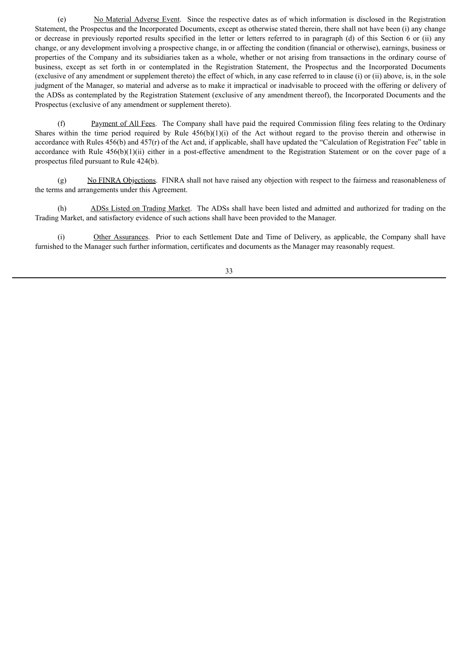(e) No Material Adverse Event. Since the respective dates as of which information is disclosed in the Registration Statement, the Prospectus and the Incorporated Documents, except as otherwise stated therein, there shall not have been (i) any change or decrease in previously reported results specified in the letter or letters referred to in paragraph (d) of this Section 6 or (ii) any change, or any development involving a prospective change, in or affecting the condition (financial or otherwise), earnings, business or properties of the Company and its subsidiaries taken as a whole, whether or not arising from transactions in the ordinary course of business, except as set forth in or contemplated in the Registration Statement, the Prospectus and the Incorporated Documents (exclusive of any amendment or supplement thereto) the effect of which, in any case referred to in clause (i) or (ii) above, is, in the sole judgment of the Manager, so material and adverse as to make it impractical or inadvisable to proceed with the offering or delivery of the ADSs as contemplated by the Registration Statement (exclusive of any amendment thereof), the Incorporated Documents and the Prospectus (exclusive of any amendment or supplement thereto).

(f) Payment of All Fees. The Company shall have paid the required Commission filing fees relating to the Ordinary Shares within the time period required by Rule  $456(b)(1)(i)$  of the Act without regard to the proviso therein and otherwise in accordance with Rules 456(b) and 457(r) of the Act and, if applicable, shall have updated the "Calculation of Registration Fee" table in accordance with Rule 456(b)(1)(ii) either in a post-effective amendment to the Registration Statement or on the cover page of a prospectus filed pursuant to Rule 424(b).

(g) No FINRA Objections. FINRA shall not have raised any objection with respect to the fairness and reasonableness of the terms and arrangements under this Agreement.

(h) ADSs Listed on Trading Market. The ADSs shall have been listed and admitted and authorized for trading on the Trading Market, and satisfactory evidence of such actions shall have been provided to the Manager.

(i) Other Assurances. Prior to each Settlement Date and Time of Delivery, as applicable, the Company shall have furnished to the Manager such further information, certificates and documents as the Manager may reasonably request.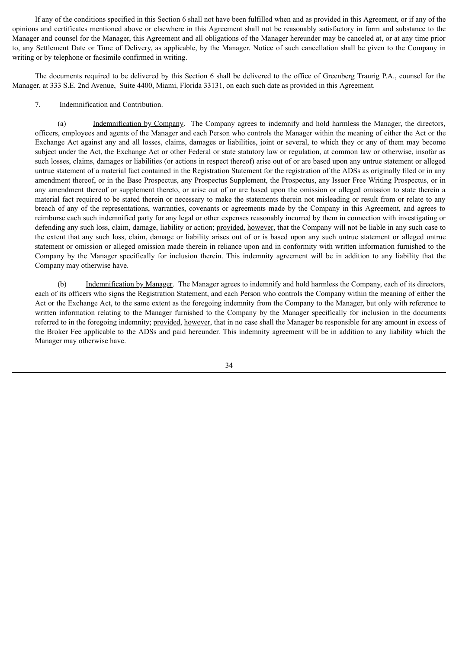If any of the conditions specified in this Section 6 shall not have been fulfilled when and as provided in this Agreement, or if any of the opinions and certificates mentioned above or elsewhere in this Agreement shall not be reasonably satisfactory in form and substance to the Manager and counsel for the Manager, this Agreement and all obligations of the Manager hereunder may be canceled at, or at any time prior to, any Settlement Date or Time of Delivery, as applicable, by the Manager. Notice of such cancellation shall be given to the Company in writing or by telephone or facsimile confirmed in writing.

The documents required to be delivered by this Section 6 shall be delivered to the office of Greenberg Traurig P.A., counsel for the Manager, at 333 S.E. 2nd Avenue, Suite 4400, Miami, Florida 33131, on each such date as provided in this Agreement.

## 7. Indemnification and Contribution.

(a) Indemnification by Company. The Company agrees to indemnify and hold harmless the Manager, the directors, officers, employees and agents of the Manager and each Person who controls the Manager within the meaning of either the Act or the Exchange Act against any and all losses, claims, damages or liabilities, joint or several, to which they or any of them may become subject under the Act, the Exchange Act or other Federal or state statutory law or regulation, at common law or otherwise, insofar as such losses, claims, damages or liabilities (or actions in respect thereof) arise out of or are based upon any untrue statement or alleged untrue statement of a material fact contained in the Registration Statement for the registration of the ADSs as originally filed or in any amendment thereof, or in the Base Prospectus, any Prospectus Supplement, the Prospectus, any Issuer Free Writing Prospectus, or in any amendment thereof or supplement thereto, or arise out of or are based upon the omission or alleged omission to state therein a material fact required to be stated therein or necessary to make the statements therein not misleading or result from or relate to any breach of any of the representations, warranties, covenants or agreements made by the Company in this Agreement, and agrees to reimburse each such indemnified party for any legal or other expenses reasonably incurred by them in connection with investigating or defending any such loss, claim, damage, liability or action; provided, however, that the Company will not be liable in any such case to the extent that any such loss, claim, damage or liability arises out of or is based upon any such untrue statement or alleged untrue statement or omission or alleged omission made therein in reliance upon and in conformity with written information furnished to the Company by the Manager specifically for inclusion therein. This indemnity agreement will be in addition to any liability that the Company may otherwise have.

(b) Indemnification by Manager. The Manager agrees to indemnify and hold harmless the Company, each of its directors, each of its officers who signs the Registration Statement, and each Person who controls the Company within the meaning of either the Act or the Exchange Act, to the same extent as the foregoing indemnity from the Company to the Manager, but only with reference to written information relating to the Manager furnished to the Company by the Manager specifically for inclusion in the documents referred to in the foregoing indemnity; provided, however, that in no case shall the Manager be responsible for any amount in excess of the Broker Fee applicable to the ADSs and paid hereunder. This indemnity agreement will be in addition to any liability which the Manager may otherwise have.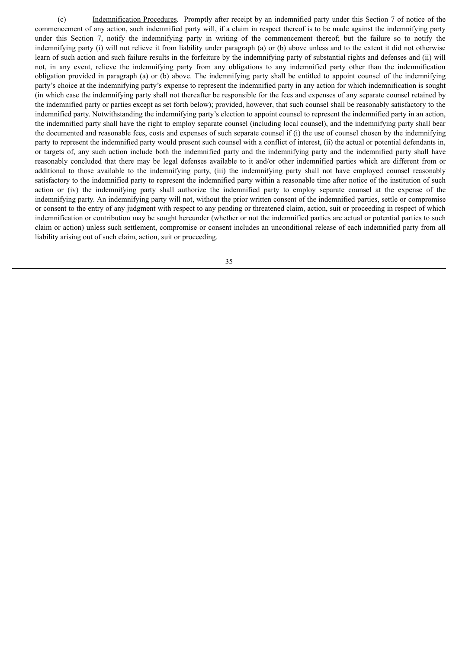(c) Indemnification Procedures. Promptly after receipt by an indemnified party under this Section 7 of notice of the commencement of any action, such indemnified party will, if a claim in respect thereof is to be made against the indemnifying party under this Section 7, notify the indemnifying party in writing of the commencement thereof; but the failure so to notify the indemnifying party (i) will not relieve it from liability under paragraph (a) or (b) above unless and to the extent it did not otherwise learn of such action and such failure results in the forfeiture by the indemnifying party of substantial rights and defenses and (ii) will not, in any event, relieve the indemnifying party from any obligations to any indemnified party other than the indemnification obligation provided in paragraph (a) or (b) above. The indemnifying party shall be entitled to appoint counsel of the indemnifying party's choice at the indemnifying party's expense to represent the indemnified party in any action for which indemnification is sought (in which case the indemnifying party shall not thereafter be responsible for the fees and expenses of any separate counsel retained by the indemnified party or parties except as set forth below); provided, however, that such counsel shall be reasonably satisfactory to the indemnified party. Notwithstanding the indemnifying party's election to appoint counsel to represent the indemnified party in an action, the indemnified party shall have the right to employ separate counsel (including local counsel), and the indemnifying party shall bear the documented and reasonable fees, costs and expenses of such separate counsel if (i) the use of counsel chosen by the indemnifying party to represent the indemnified party would present such counsel with a conflict of interest, (ii) the actual or potential defendants in, or targets of, any such action include both the indemnified party and the indemnifying party and the indemnified party shall have reasonably concluded that there may be legal defenses available to it and/or other indemnified parties which are different from or additional to those available to the indemnifying party, (iii) the indemnifying party shall not have employed counsel reasonably satisfactory to the indemnified party to represent the indemnified party within a reasonable time after notice of the institution of such action or (iv) the indemnifying party shall authorize the indemnified party to employ separate counsel at the expense of the indemnifying party. An indemnifying party will not, without the prior written consent of the indemnified parties, settle or compromise or consent to the entry of any judgment with respect to any pending or threatened claim, action, suit or proceeding in respect of which indemnification or contribution may be sought hereunder (whether or not the indemnified parties are actual or potential parties to such claim or action) unless such settlement, compromise or consent includes an unconditional release of each indemnified party from all liability arising out of such claim, action, suit or proceeding.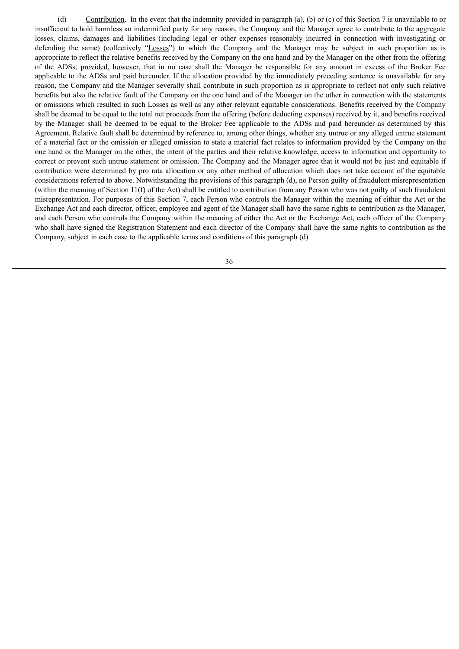(d) Contribution. In the event that the indemnity provided in paragraph (a), (b) or (c) of this Section 7 is unavailable to or insufficient to hold harmless an indemnified party for any reason, the Company and the Manager agree to contribute to the aggregate losses, claims, damages and liabilities (including legal or other expenses reasonably incurred in connection with investigating or defending the same) (collectively "Losses") to which the Company and the Manager may be subject in such proportion as is appropriate to reflect the relative benefits received by the Company on the one hand and by the Manager on the other from the offering of the ADSs; provided, however, that in no case shall the Manager be responsible for any amount in excess of the Broker Fee applicable to the ADSs and paid hereunder. If the allocation provided by the immediately preceding sentence is unavailable for any reason, the Company and the Manager severally shall contribute in such proportion as is appropriate to reflect not only such relative benefits but also the relative fault of the Company on the one hand and of the Manager on the other in connection with the statements or omissions which resulted in such Losses as well as any other relevant equitable considerations. Benefits received by the Company shall be deemed to be equal to the total net proceeds from the offering (before deducting expenses) received by it, and benefits received by the Manager shall be deemed to be equal to the Broker Fee applicable to the ADSs and paid hereunder as determined by this Agreement. Relative fault shall be determined by reference to, among other things, whether any untrue or any alleged untrue statement of a material fact or the omission or alleged omission to state a material fact relates to information provided by the Company on the one hand or the Manager on the other, the intent of the parties and their relative knowledge, access to information and opportunity to correct or prevent such untrue statement or omission. The Company and the Manager agree that it would not be just and equitable if contribution were determined by pro rata allocation or any other method of allocation which does not take account of the equitable considerations referred to above. Notwithstanding the provisions of this paragraph (d), no Person guilty of fraudulent misrepresentation (within the meaning of Section 11(f) of the Act) shall be entitled to contribution from any Person who was not guilty of such fraudulent misrepresentation. For purposes of this Section 7, each Person who controls the Manager within the meaning of either the Act or the Exchange Act and each director, officer, employee and agent of the Manager shall have the same rights to contribution as the Manager, and each Person who controls the Company within the meaning of either the Act or the Exchange Act, each officer of the Company who shall have signed the Registration Statement and each director of the Company shall have the same rights to contribution as the Company, subject in each case to the applicable terms and conditions of this paragraph (d).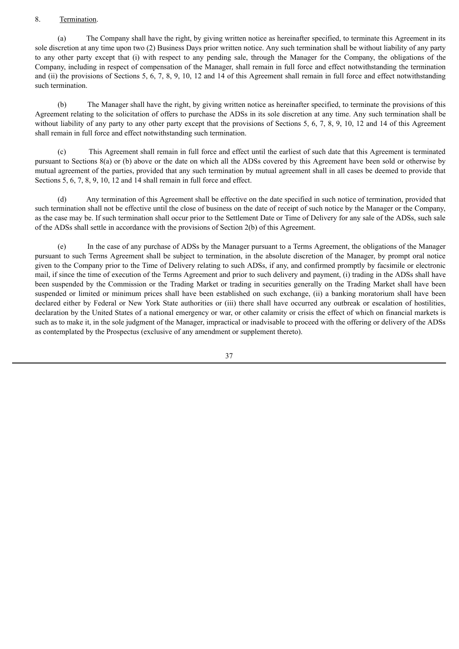#### 8. Termination.

(a) The Company shall have the right, by giving written notice as hereinafter specified, to terminate this Agreement in its sole discretion at any time upon two (2) Business Days prior written notice. Any such termination shall be without liability of any party to any other party except that (i) with respect to any pending sale, through the Manager for the Company, the obligations of the Company, including in respect of compensation of the Manager, shall remain in full force and effect notwithstanding the termination and (ii) the provisions of Sections 5, 6, 7, 8, 9, 10, 12 and 14 of this Agreement shall remain in full force and effect notwithstanding such termination.

(b) The Manager shall have the right, by giving written notice as hereinafter specified, to terminate the provisions of this Agreement relating to the solicitation of offers to purchase the ADSs in its sole discretion at any time. Any such termination shall be without liability of any party to any other party except that the provisions of Sections 5, 6, 7, 8, 9, 10, 12 and 14 of this Agreement shall remain in full force and effect notwithstanding such termination.

(c) This Agreement shall remain in full force and effect until the earliest of such date that this Agreement is terminated pursuant to Sections 8(a) or (b) above or the date on which all the ADSs covered by this Agreement have been sold or otherwise by mutual agreement of the parties, provided that any such termination by mutual agreement shall in all cases be deemed to provide that Sections 5, 6, 7, 8, 9, 10, 12 and 14 shall remain in full force and effect.

(d) Any termination of this Agreement shall be effective on the date specified in such notice of termination, provided that such termination shall not be effective until the close of business on the date of receipt of such notice by the Manager or the Company, as the case may be. If such termination shall occur prior to the Settlement Date or Time of Delivery for any sale of the ADSs, such sale of the ADSs shall settle in accordance with the provisions of Section 2(b) of this Agreement.

(e) In the case of any purchase of ADSs by the Manager pursuant to a Terms Agreement, the obligations of the Manager pursuant to such Terms Agreement shall be subject to termination, in the absolute discretion of the Manager, by prompt oral notice given to the Company prior to the Time of Delivery relating to such ADSs, if any, and confirmed promptly by facsimile or electronic mail, if since the time of execution of the Terms Agreement and prior to such delivery and payment, (i) trading in the ADSs shall have been suspended by the Commission or the Trading Market or trading in securities generally on the Trading Market shall have been suspended or limited or minimum prices shall have been established on such exchange, (ii) a banking moratorium shall have been declared either by Federal or New York State authorities or (iii) there shall have occurred any outbreak or escalation of hostilities, declaration by the United States of a national emergency or war, or other calamity or crisis the effect of which on financial markets is such as to make it, in the sole judgment of the Manager, impractical or inadvisable to proceed with the offering or delivery of the ADSs as contemplated by the Prospectus (exclusive of any amendment or supplement thereto).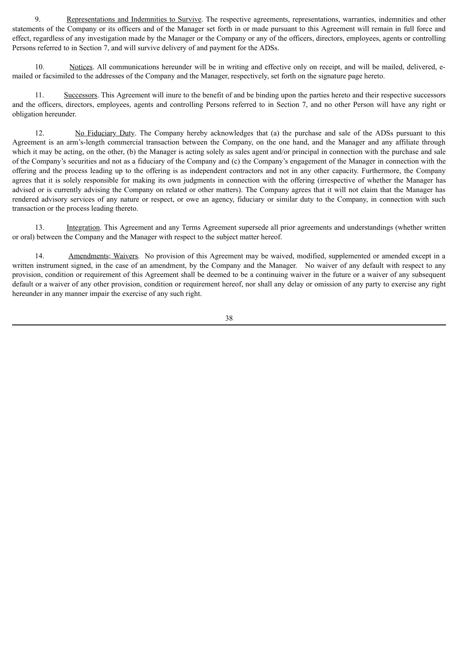9. Representations and Indemnities to Survive. The respective agreements, representations, warranties, indemnities and other statements of the Company or its officers and of the Manager set forth in or made pursuant to this Agreement will remain in full force and effect, regardless of any investigation made by the Manager or the Company or any of the officers, directors, employees, agents or controlling Persons referred to in Section 7, and will survive delivery of and payment for the ADSs.

10. Notices. All communications hereunder will be in writing and effective only on receipt, and will be mailed, delivered, emailed or facsimiled to the addresses of the Company and the Manager, respectively, set forth on the signature page hereto.

11. Successors. This Agreement will inure to the benefit of and be binding upon the parties hereto and their respective successors and the officers, directors, employees, agents and controlling Persons referred to in Section 7, and no other Person will have any right or obligation hereunder.

12. No Fiduciary Duty. The Company hereby acknowledges that (a) the purchase and sale of the ADSs pursuant to this Agreement is an arm's-length commercial transaction between the Company, on the one hand, and the Manager and any affiliate through which it may be acting, on the other, (b) the Manager is acting solely as sales agent and/or principal in connection with the purchase and sale of the Company's securities and not as a fiduciary of the Company and (c) the Company's engagement of the Manager in connection with the offering and the process leading up to the offering is as independent contractors and not in any other capacity. Furthermore, the Company agrees that it is solely responsible for making its own judgments in connection with the offering (irrespective of whether the Manager has advised or is currently advising the Company on related or other matters). The Company agrees that it will not claim that the Manager has rendered advisory services of any nature or respect, or owe an agency, fiduciary or similar duty to the Company, in connection with such transaction or the process leading thereto.

13. Integration. This Agreement and any Terms Agreement supersede all prior agreements and understandings (whether written or oral) between the Company and the Manager with respect to the subject matter hereof.

14. Amendments; Waivers. No provision of this Agreement may be waived, modified, supplemented or amended except in a written instrument signed, in the case of an amendment, by the Company and the Manager. No waiver of any default with respect to any provision, condition or requirement of this Agreement shall be deemed to be a continuing waiver in the future or a waiver of any subsequent default or a waiver of any other provision, condition or requirement hereof, nor shall any delay or omission of any party to exercise any right hereunder in any manner impair the exercise of any such right.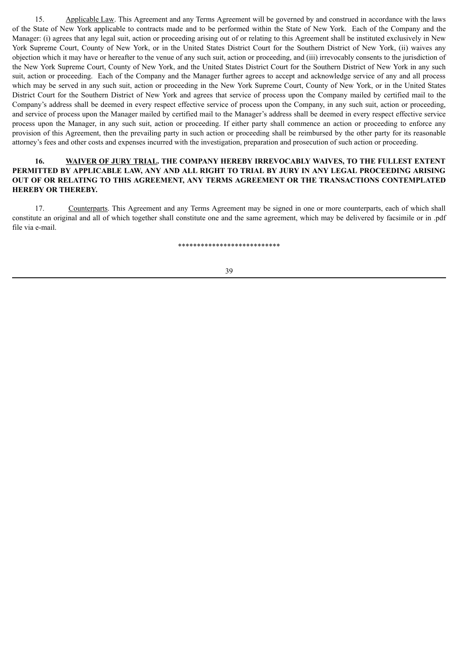15. Applicable Law. This Agreement and any Terms Agreement will be governed by and construed in accordance with the laws of the State of New York applicable to contracts made and to be performed within the State of New York. Each of the Company and the Manager: (i) agrees that any legal suit, action or proceeding arising out of or relating to this Agreement shall be instituted exclusively in New York Supreme Court, County of New York, or in the United States District Court for the Southern District of New York, (ii) waives any objection which it may have or hereafter to the venue of any such suit, action or proceeding, and (iii) irrevocably consents to the jurisdiction of the New York Supreme Court, County of New York, and the United States District Court for the Southern District of New York in any such suit, action or proceeding. Each of the Company and the Manager further agrees to accept and acknowledge service of any and all process which may be served in any such suit, action or proceeding in the New York Supreme Court, County of New York, or in the United States District Court for the Southern District of New York and agrees that service of process upon the Company mailed by certified mail to the Company's address shall be deemed in every respect effective service of process upon the Company, in any such suit, action or proceeding, and service of process upon the Manager mailed by certified mail to the Manager's address shall be deemed in every respect effective service process upon the Manager, in any such suit, action or proceeding. If either party shall commence an action or proceeding to enforce any provision of this Agreement, then the prevailing party in such action or proceeding shall be reimbursed by the other party for its reasonable attorney's fees and other costs and expenses incurred with the investigation, preparation and prosecution of such action or proceeding.

## **16. WAIVER OF JURY TRIAL. THE COMPANY HEREBY IRREVOCABLY WAIVES, TO THE FULLEST EXTENT PERMITTED BY APPLICABLE LAW, ANY AND ALL RIGHT TO TRIAL BY JURY IN ANY LEGAL PROCEEDING ARISING OUT OF OR RELATING TO THIS AGREEMENT, ANY TERMS AGREEMENT OR THE TRANSACTIONS CONTEMPLATED HEREBY OR THEREBY.**

17. Counterparts. This Agreement and any Terms Agreement may be signed in one or more counterparts, each of which shall constitute an original and all of which together shall constitute one and the same agreement, which may be delivered by facsimile or in .pdf file via e-mail.

\*\*\*\*\*\*\*\*\*\*\*\*\*\*\*\*\*\*\*\*\*\*\*\*\*\*\*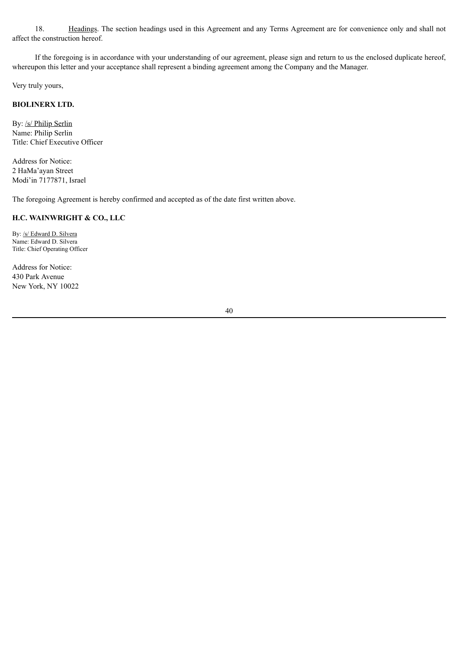18. Headings. The section headings used in this Agreement and any Terms Agreement are for convenience only and shall not affect the construction hereof.

If the foregoing is in accordance with your understanding of our agreement, please sign and return to us the enclosed duplicate hereof, whereupon this letter and your acceptance shall represent a binding agreement among the Company and the Manager.

Very truly yours,

# **BIOLINERX LTD.**

By: /s/ Philip Serlin Name: Philip Serlin Title: Chief Executive Officer

Address for Notice: 2 HaMa'ayan Street Modi'in 7177871, Israel

The foregoing Agreement is hereby confirmed and accepted as of the date first written above.

#### **H.C. WAINWRIGHT & CO., LLC**

By: /s/ Edward D. Silvera Name: Edward D. Silvera Title: Chief Operating Officer

Address for Notice: 430 Park Avenue New York, NY 10022